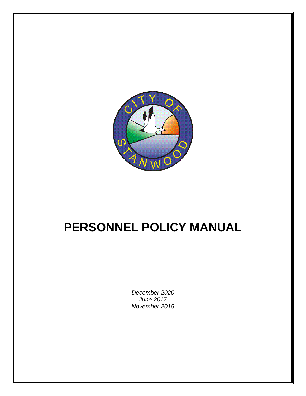

# **PERSONNEL POLICY MANUAL**

*December 2020 June 2017 November 2015*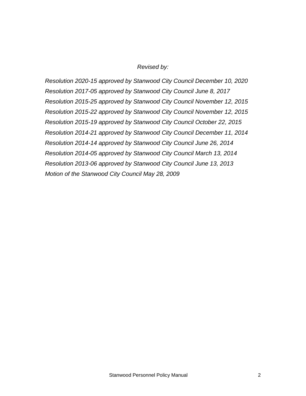#### *Revised by:*

*Resolution 2020-15 approved by Stanwood City Council December 10, 2020 Resolution 2017-05 approved by Stanwood City Council June 8, 2017 Resolution 2015-25 approved by Stanwood City Council November 12, 2015 Resolution 2015-22 approved by Stanwood City Council November 12, 2015 Resolution 2015-19 approved by Stanwood City Council October 22, 2015 Resolution 2014-21 approved by Stanwood City Council December 11, 2014 Resolution 2014-14 approved by Stanwood City Council June 26, 2014 Resolution 2014-05 approved by Stanwood City Council March 13, 2014 Resolution 2013-06 approved by Stanwood City Council June 13, 2013 Motion of the Stanwood City Council May 28, 2009*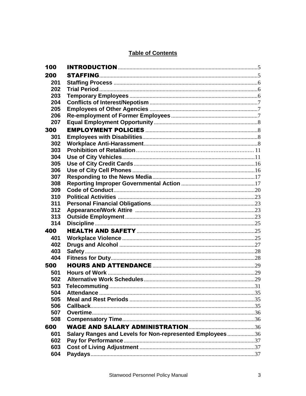# **Table of Contents**

| 100 |                                                          |  |
|-----|----------------------------------------------------------|--|
| 200 |                                                          |  |
| 201 |                                                          |  |
| 202 |                                                          |  |
| 203 |                                                          |  |
| 204 |                                                          |  |
| 205 |                                                          |  |
| 206 |                                                          |  |
| 207 |                                                          |  |
| 300 |                                                          |  |
| 301 |                                                          |  |
| 302 |                                                          |  |
| 303 |                                                          |  |
| 304 |                                                          |  |
| 305 |                                                          |  |
| 306 |                                                          |  |
| 307 |                                                          |  |
| 308 |                                                          |  |
| 309 |                                                          |  |
| 310 |                                                          |  |
| 311 |                                                          |  |
| 312 |                                                          |  |
| 313 |                                                          |  |
| 314 |                                                          |  |
| 400 |                                                          |  |
| 401 |                                                          |  |
| 402 |                                                          |  |
| 403 |                                                          |  |
| 404 |                                                          |  |
| 500 |                                                          |  |
| 501 |                                                          |  |
| 502 |                                                          |  |
| 503 |                                                          |  |
| 504 |                                                          |  |
| 505 |                                                          |  |
| 506 |                                                          |  |
| 507 |                                                          |  |
| 508 |                                                          |  |
| 600 |                                                          |  |
| 601 | Salary Ranges and Levels for Non-represented Employees36 |  |
| 602 |                                                          |  |
| 603 |                                                          |  |
| 604 |                                                          |  |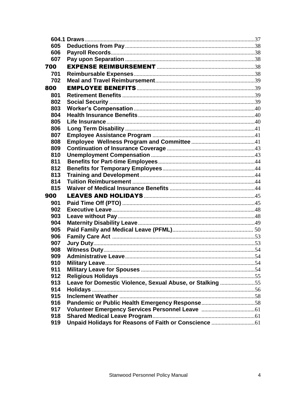<span id="page-3-0"></span>

| 605 |                                                           |  |
|-----|-----------------------------------------------------------|--|
| 606 |                                                           |  |
| 607 |                                                           |  |
| 700 |                                                           |  |
| 701 |                                                           |  |
| 702 |                                                           |  |
| 800 |                                                           |  |
| 801 |                                                           |  |
| 802 |                                                           |  |
| 803 |                                                           |  |
| 804 |                                                           |  |
| 805 |                                                           |  |
| 806 |                                                           |  |
| 807 |                                                           |  |
| 808 |                                                           |  |
| 809 |                                                           |  |
| 810 |                                                           |  |
| 811 |                                                           |  |
| 812 |                                                           |  |
| 813 |                                                           |  |
| 814 |                                                           |  |
| 815 |                                                           |  |
| 900 |                                                           |  |
| 901 |                                                           |  |
| 902 |                                                           |  |
| 903 |                                                           |  |
| 904 |                                                           |  |
| 905 |                                                           |  |
| 906 |                                                           |  |
| 907 |                                                           |  |
| 908 |                                                           |  |
| 909 |                                                           |  |
| 910 |                                                           |  |
| 911 |                                                           |  |
| 912 |                                                           |  |
| 913 | Leave for Domestic Violence, Sexual Abuse, or Stalking 55 |  |
| 914 |                                                           |  |
| 915 |                                                           |  |
| 916 |                                                           |  |
| 917 |                                                           |  |
| 918 |                                                           |  |
| 919 | Unpaid Holidays for Reasons of Faith or Conscience  61    |  |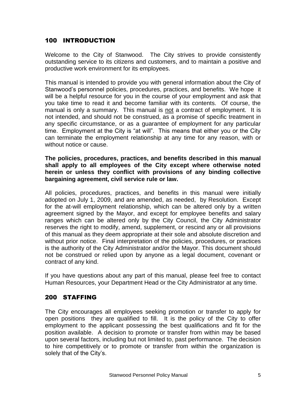# 100 INTRODUCTION

Welcome to the City of Stanwood. The City strives to provide consistently outstanding service to its citizens and customers, and to maintain a positive and productive work environment for its employees.

This manual is intended to provide you with general information about the City of Stanwood's personnel policies, procedures, practices, and benefits. We hope it will be a helpful resource for you in the course of your employment and ask that you take time to read it and become familiar with its contents. Of course, the manual is only a summary. This manual is not a contract of employment. It is not intended, and should not be construed, as a promise of specific treatment in any specific circumstance, or as a guarantee of employment for any particular time. Employment at the City is "at will". This means that either you or the City can terminate the employment relationship at any time for any reason, with or without notice or cause.

**The policies, procedures, practices, and benefits described in this manual shall apply to all employees of the City except where otherwise noted herein or unless they conflict with provisions of any binding collective bargaining agreement, civil service rule or law.** 

All policies, procedures, practices, and benefits in this manual were initially adopted on July 1, 2009, and are amended, as needed, by Resolution. Except for the at-will employment relationship, which can be altered only by a written agreement signed by the Mayor, and except for employee benefits and salary ranges which can be altered only by the City Council, the City Administrator reserves the right to modify, amend, supplement, or rescind any or all provisions of this manual as they deem appropriate at their sole and absolute discretion and without prior notice. Final interpretation of the policies, procedures, or practices is the authority of the City Administrator and/or the Mayor. This document should not be construed or relied upon by anyone as a legal document, covenant or contract of any kind.

If you have questions about any part of this manual, please feel free to contact Human Resources, your Department Head or the City Administrator at any time.

# <span id="page-4-0"></span>200 STAFFING

The City encourages all employees seeking promotion or transfer to apply for open positions they are qualified to fill. It is the policy of the City to offer employment to the applicant possessing the best qualifications and fit for the position available. A decision to promote or transfer from within may be based upon several factors, including but not limited to, past performance. The decision to hire competitively or to promote or transfer from within the organization is solely that of the City's.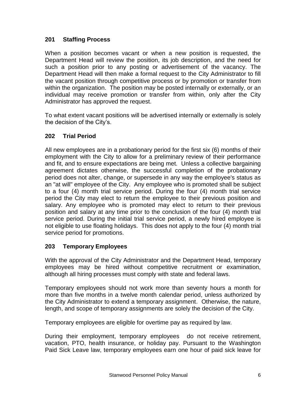# <span id="page-5-0"></span>**201 Staffing Process**

When a position becomes vacant or when a new position is requested, the Department Head will review the position, its job description, and the need for such a position prior to any posting or advertisement of the vacancy. The Department Head will then make a formal request to the City Administrator to fill the vacant position through competitive process or by promotion or transfer from within the organization. The position may be posted internally or externally, or an individual may receive promotion or transfer from within, only after the City Administrator has approved the request.

To what extent vacant positions will be advertised internally or externally is solely the decision of the City's.

# <span id="page-5-1"></span>**202 Trial Period**

All new employees are in a probationary period for the first six (6) months of their employment with the City to allow for a preliminary review of their performance and fit, and to ensure expectations are being met. Unless a collective bargaining agreement dictates otherwise, the successful completion of the probationary period does not alter, change, or supersede in any way the employee's status as an "at will" employee of the City. Any employee who is promoted shall be subject to a four (4) month trial service period. During the four (4) month trial service period the City may elect to return the employee to their previous position and salary. Any employee who is promoted may elect to return to their previous position and salary at any time prior to the conclusion of the four (4) month trial service period. During the initial trial service period, a newly hired employee is not eligible to use floating holidays. This does not apply to the four (4) month trial service period for promotions.

#### <span id="page-5-2"></span>**203 Temporary Employees**

With the approval of the City Administrator and the Department Head, temporary employees may be hired without competitive recruitment or examination, although all hiring processes must comply with state and federal laws.

Temporary employees should not work more than seventy hours a month for more than five months in a twelve month calendar period, unless authorized by the City Administrator to extend a temporary assignment. Otherwise, the nature, length, and scope of temporary assignments are solely the decision of the City.

Temporary employees are eligible for overtime pay as required by law.

During their employment, temporary employees do not receive retirement, vacation, PTO, health insurance, or holiday pay. Pursuant to the Washington Paid Sick Leave law, temporary employees earn one hour of paid sick leave for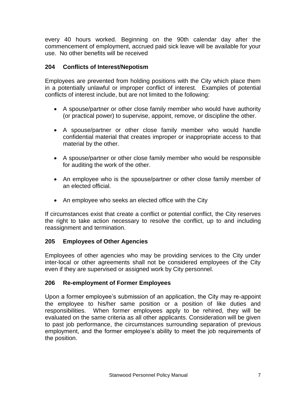every 40 hours worked. Beginning on the 90th calendar day after the commencement of employment, accrued paid sick leave will be available for your use. No other benefits will be received

#### <span id="page-6-0"></span>**204 Conflicts of Interest/Nepotism**

Employees are prevented from holding positions with the City which place them in a potentially unlawful or improper conflict of interest. Examples of potential conflicts of interest include, but are not limited to the following:

- A spouse/partner or other close family member who would have authority (or practical power) to supervise, appoint, remove, or discipline the other.
- A spouse/partner or other close family member who would handle confidential material that creates improper or inappropriate access to that material by the other.
- A spouse/partner or other close family member who would be responsible for auditing the work of the other.
- An employee who is the spouse/partner or other close family member of an elected official.
- An employee who seeks an elected office with the City

If circumstances exist that create a conflict or potential conflict, the City reserves the right to take action necessary to resolve the conflict, up to and including reassignment and termination.

#### <span id="page-6-1"></span>**205 Employees of Other Agencies**

Employees of other agencies who may be providing services to the City under inter-local or other agreements shall not be considered employees of the City even if they are supervised or assigned work by City personnel.

#### <span id="page-6-2"></span>**206 Re-employment of Former Employees**

Upon a former employee's submission of an application, the City may re-appoint the employee to his/her same position or a position of like duties and responsibilities. When former employees apply to be rehired, they will be evaluated on the same criteria as all other applicants. Consideration will be given to past job performance, the circumstances surrounding separation of previous employment, and the former employee's ability to meet the job requirements of the position.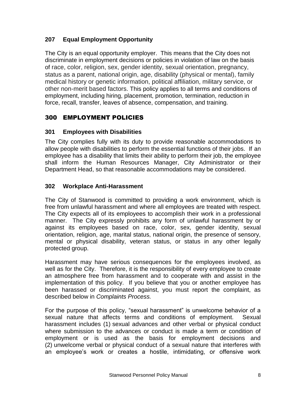# <span id="page-7-0"></span>**207 Equal Employment Opportunity**

The City is an equal opportunity employer. This means that the City does not discriminate in employment decisions or policies in violation of law on the basis of race, color, religion, sex, gender identity, sexual orientation, pregnancy, status as a parent, national origin, age, disability (physical or mental), family medical history or genetic information, political affiliation, military service, or other non-merit based factors. This policy applies to all terms and conditions of employment, including hiring, placement, promotion, termination, reduction in force, recall, transfer, leaves of absence, compensation, and training.

# <span id="page-7-1"></span>300 EMPLOYMENT POLICIES

# <span id="page-7-2"></span>**301 Employees with Disabilities**

The City complies fully with its duty to provide reasonable accommodations to allow people with disabilities to perform the essential functions of their jobs. If an employee has a disability that limits their ability to perform their job, the employee shall inform the Human Resources Manager, City Administrator or their Department Head, so that reasonable accommodations may be considered.

# <span id="page-7-3"></span>**302 Workplace Anti-Harassment**

The City of Stanwood is committed to providing a work environment, which is free from unlawful harassment and where all employees are treated with respect. The City expects all of its employees to accomplish their work in a professional manner. The City expressly prohibits any form of unlawful harassment by or against its employees based on race, color, sex, gender identity, sexual orientation, religion, age, marital status, national origin, the presence of sensory, mental or physical disability, veteran status, or status in any other legally protected group.

Harassment may have serious consequences for the employees involved, as well as for the City. Therefore, it is the responsibility of every employee to create an atmosphere free from harassment and to cooperate with and assist in the implementation of this policy. If you believe that you or another employee has been harassed or discriminated against, you must report the complaint, as described below in *Complaints Process.*

For the purpose of this policy, "sexual harassment" is unwelcome behavior of a sexual nature that affects terms and conditions of employment. Sexual harassment includes (1) sexual advances and other verbal or physical conduct where submission to the advances or conduct is made a term or condition of employment or is used as the basis for employment decisions and (2) unwelcome verbal or physical conduct of a sexual nature that interferes with an employee's work or creates a hostile, intimidating, or offensive work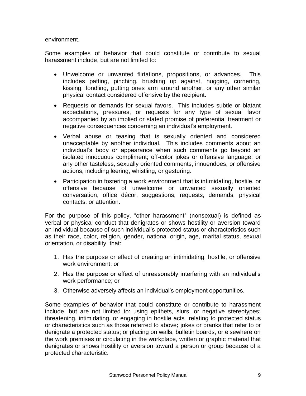environment.

Some examples of behavior that could constitute or contribute to sexual harassment include, but are not limited to:

- Unwelcome or unwanted flirtations, propositions, or advances. This includes patting, pinching, brushing up against, hugging, cornering, kissing, fondling, putting ones arm around another, or any other similar physical contact considered offensive by the recipient.
- Requests or demands for sexual favors. This includes subtle or blatant expectations, pressures, or requests for any type of sexual favor accompanied by an implied or stated promise of preferential treatment or negative consequences concerning an individual's employment.
- Verbal abuse or teasing that is sexually oriented and considered unacceptable by another individual. This includes comments about an individual's body or appearance when such comments go beyond an isolated innocuous compliment; off-color jokes or offensive language; or any other tasteless, sexually oriented comments, innuendoes, or offensive actions, including leering, whistling, or gesturing.
- Participation in fostering a work environment that is intimidating, hostile, or offensive because of unwelcome or unwanted sexually oriented conversation, office décor, suggestions, requests, demands, physical contacts, or attention.

For the purpose of this policy, "other harassment" (nonsexual) is defined as verbal or physical conduct that denigrates or shows hostility or aversion toward an individual because of such individual's protected status or characteristics such as their race, color, religion, gender, national origin, age, marital status, sexual orientation, or disability that:

- 1. Has the purpose or effect of creating an intimidating, hostile, or offensive work environment; or
- 2. Has the purpose or effect of unreasonably interfering with an individual's work performance; or
- 3. Otherwise adversely affects an individual's employment opportunities.

Some examples of behavior that could constitute or contribute to harassment include, but are not limited to: using epithets, slurs, or negative stereotypes; threatening, intimidating, or engaging in hostile acts relating to protected status or characteristics such as those referred to above**;** jokes or pranks that refer to or denigrate a protected status; or placing on walls, bulletin boards, or elsewhere on the work premises or circulating in the workplace, written or graphic material that denigrates or shows hostility or aversion toward a person or group because of a protected characteristic.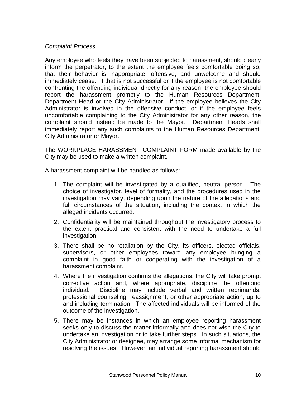#### *Complaint Process*

Any employee who feels they have been subjected to harassment, should clearly inform the perpetrator, to the extent the employee feels comfortable doing so, that their behavior is inappropriate, offensive, and unwelcome and should immediately cease. If that is not successful or if the employee is not comfortable confronting the offending individual directly for any reason, the employee should report the harassment promptly to the Human Resources Department, Department Head or the City Administrator. If the employee believes the City Administrator is involved in the offensive conduct, or if the employee feels uncomfortable complaining to the City Administrator for any other reason, the complaint should instead be made to the Mayor. Department Heads shall immediately report any such complaints to the Human Resources Department, City Administrator or Mayor.

The WORKPLACE HARASSMENT COMPLAINT FORM made available by the City may be used to make a written complaint.

A harassment complaint will be handled as follows:

- 1. The complaint will be investigated by a qualified, neutral person. The choice of investigator, level of formality, and the procedures used in the investigation may vary, depending upon the nature of the allegations and full circumstances of the situation, including the context in which the alleged incidents occurred.
- 2. Confidentiality will be maintained throughout the investigatory process to the extent practical and consistent with the need to undertake a full investigation.
- 3. There shall be no retaliation by the City, its officers, elected officials, supervisors, or other employees toward any employee bringing a complaint in good faith or cooperating with the investigation of a harassment complaint.
- 4. Where the investigation confirms the allegations, the City will take prompt corrective action and, where appropriate, discipline the offending individual. Discipline may include verbal and written reprimands, professional counseling, reassignment, or other appropriate action, up to and including termination. The affected individuals will be informed of the outcome of the investigation.
- 5. There may be instances in which an employee reporting harassment seeks only to discuss the matter informally and does not wish the City to undertake an investigation or to take further steps. In such situations, the City Administrator or designee, may arrange some informal mechanism for resolving the issues. However, an individual reporting harassment should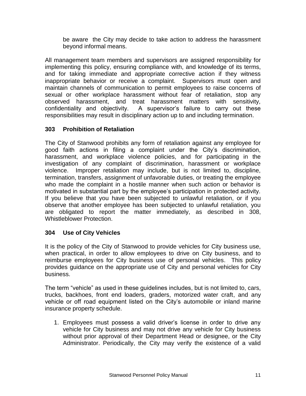be aware the City may decide to take action to address the harassment beyond informal means.

All management team members and supervisors are assigned responsibility for implementing this policy, ensuring compliance with, and knowledge of its terms, and for taking immediate and appropriate corrective action if they witness inappropriate behavior or receive a complaint. Supervisors must open and maintain channels of communication to permit employees to raise concerns of sexual or other workplace harassment without fear of retaliation, stop any observed harassment, and treat harassment matters with sensitivity, confidentiality and objectivity. A supervisor's failure to carry out these responsibilities may result in disciplinary action up to and including termination.

# **303 Prohibition of Retaliation**

The City of Stanwood prohibits any form of retaliation against any employee for good faith actions in filing a complaint under the City's discrimination, harassment, and workplace violence policies, and for participating in the investigation of any complaint of discrimination, harassment or workplace violence. Improper retaliation may include, but is not limited to, discipline, termination, transfers, assignment of unfavorable duties, or treating the employee who made the complaint in a hostile manner when such action or behavior is motivated in substantial part by the employee's participation in protected activity. If you believe that you have been subjected to unlawful retaliation, or if you observe that another employee has been subjected to unlawful retaliation, you are obligated to report the matter immediately, as described in 308, Whistleblower Protection.

#### <span id="page-10-0"></span>**304 Use of City Vehicles**

It is the policy of the City of Stanwood to provide vehicles for City business use, when practical, in order to allow employees to drive on City business, and to reimburse employees for City business use of personal vehicles. This policy provides guidance on the appropriate use of City and personal vehicles for City business.

The term "vehicle" as used in these guidelines includes, but is not limited to, cars, trucks, backhoes, front end loaders, graders, motorized water craft, and any vehicle or off road equipment listed on the City's automobile or inland marine insurance property schedule.

1. Employees must possess a valid driver's license in order to drive any vehicle for City business and may not drive any vehicle for City business without prior approval of their Department Head or designee, or the City Administrator. Periodically, the City may verify the existence of a valid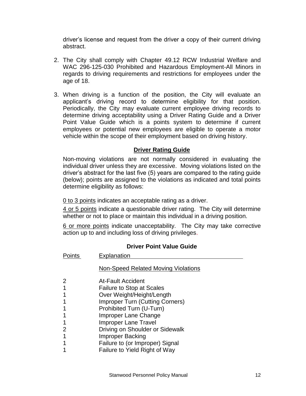driver's license and request from the driver a copy of their current driving abstract.

- 2. The City shall comply with Chapter 49.12 RCW Industrial Welfare and WAC 296-125-030 Prohibited and Hazardous Employment-All Minors in regards to driving requirements and restrictions for employees under the age of 18.
- 3. When driving is a function of the position, the City will evaluate an applicant's driving record to determine eligibility for that position. Periodically, the City may evaluate current employee driving records to determine driving acceptability using a Driver Rating Guide and a Driver Point Value Guide which is a points system to determine if current employees or potential new employees are eligible to operate a motor vehicle within the scope of their employment based on driving history.

# **Driver Rating Guide**

Non-moving violations are not normally considered in evaluating the individual driver unless they are excessive. Moving violations listed on the driver's abstract for the last five (5) years are compared to the rating guide (below); points are assigned to the violations as indicated and total points determine eligibility as follows:

0 to 3 points indicates an acceptable rating as a driver.

4 or 5 points indicate a questionable driver rating. The City will determine whether or not to place or maintain this individual in a driving position.

6 or more points indicate unacceptability. The City may take corrective action up to and including loss of driving privileges.

#### **Driver Point Value Guide**

| Points | Explanation                            |
|--------|----------------------------------------|
|        | Non-Speed Related Moving Violations    |
| 2      | <b>At-Fault Accident</b>               |
|        | <b>Failure to Stop at Scales</b>       |
|        | Over Weight/Height/Length              |
|        | <b>Improper Turn (Cutting Corners)</b> |
|        | Prohibited Turn (U-Turn)               |
|        | Improper Lane Change                   |
|        | <b>Improper Lane Travel</b>            |
|        | Driving on Shoulder or Sidewalk        |
|        | Improper Backing                       |
|        | Failure to (or Improper) Signal        |
|        | Failure to Yield Right of Way          |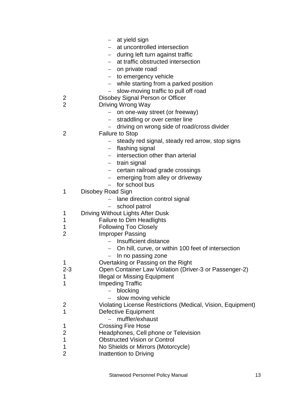|                     | - at yield sign                                                             |
|---------------------|-----------------------------------------------------------------------------|
|                     | at uncontrolled intersection                                                |
|                     | - during left turn against traffic                                          |
|                     | at traffic obstructed intersection                                          |
|                     | on private road<br>$-$                                                      |
|                     | - to emergency vehicle                                                      |
|                     | - while starting from a parked position                                     |
|                     | slow-moving traffic to pull off road                                        |
| 2                   | Disobey Signal Person or Officer                                            |
| $\overline{2}$      | Driving Wrong Way                                                           |
|                     | - on one-way street (or freeway)                                            |
|                     | straddling or over center line<br>$\overline{\phantom{0}}$                  |
|                     | driving on wrong side of road/cross divider                                 |
| 2                   | <b>Failure to Stop</b>                                                      |
|                     | steady red signal, steady red arrow, stop signs                             |
|                     | - flashing signal                                                           |
|                     | intersection other than arterial<br>$\overline{\phantom{0}}$                |
|                     | - train signal                                                              |
|                     | certain railroad grade crossings                                            |
|                     | emerging from alley or driveway                                             |
|                     | for school bus                                                              |
| 1                   | Disobey Road Sign                                                           |
|                     | lane direction control signal                                               |
|                     | school patrol                                                               |
| 1                   | Driving Without Lights After Dusk                                           |
| 1                   | <b>Failure to Dim Headlights</b>                                            |
| 1                   | <b>Following Too Closely</b>                                                |
| 2                   | <b>Improper Passing</b>                                                     |
|                     | - Insufficient distance                                                     |
|                     | - On hill, curve, or within 100 feet of intersection                        |
|                     | In no passing zone<br>$\overline{\phantom{0}}$                              |
| 1                   | Overtaking or Passing on the Right                                          |
| 2-3                 | Open Container Law Violation (Driver-3 or Passenger-2)                      |
| 1                   | <b>Illegal or Missing Equipment</b>                                         |
| 1                   | <b>Impeding Traffic</b>                                                     |
|                     | blocking                                                                    |
|                     | slow moving vehicle                                                         |
| 2                   | Violating License Restrictions (Medical, Vision, Equipment)                 |
| 1                   | <b>Defective Equipment</b>                                                  |
|                     | muffler/exhaust                                                             |
| 1                   | <b>Crossing Fire Hose</b>                                                   |
| $\overline{2}$<br>1 | Headphones, Cell phone or Television<br><b>Obstructed Vision or Control</b> |
| 1                   | No Shields or Mirrors (Motorcycle)                                          |
| 2                   | Inattention to Driving                                                      |
|                     |                                                                             |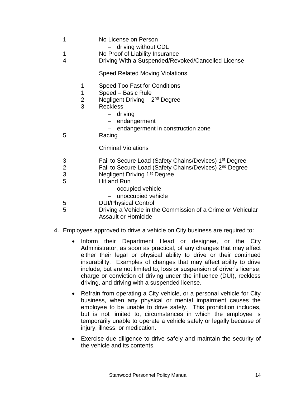- 1 No License on Person - driving without CDL 1 No Proof of Liability Insurance 4 Driving With a Suspended/Revoked/Cancelled License Speed Related Moving Violations 1 Speed Too Fast for Conditions 1 Speed – Basic Rule 2 Negligent Driving - 2<sup>nd</sup> Degree 3 Reckless - driving  $-$  endangerment  $-$  endangerment in construction zone 5 Racing Criminal Violations 3 **Fail to Secure Load (Safety Chains/Devices)** 1<sup>st</sup> Degree 2 Fail to Secure Load (Safety Chains/Devices) 2nd Degree 3 **Negligent Driving 1<sup>st</sup> Degree** 5 Hit and Run  $-$  occupied vehicle - unoccupied vehicle 5 DUI/Physical Control 5 Driving a Vehicle in the Commission of a Crime or Vehicular Assault or Homicide 4. Employees approved to drive a vehicle on City business are required to:
	- Inform their Department Head or designee, or the City Administrator, as soon as practical, of any changes that may affect either their legal or physical ability to drive or their continued insurability. Examples of changes that may affect ability to drive include, but are not limited to, loss or suspension of driver's license, charge or conviction of driving under the influence (DUI), reckless driving, and driving with a suspended license.
	- Refrain from operating a City vehicle, or a personal vehicle for City business, when any physical or mental impairment causes the employee to be unable to drive safely. This prohibition includes, but is not limited to, circumstances in which the employee is temporarily unable to operate a vehicle safely or legally because of injury, illness, or medication.
	- Exercise due diligence to drive safely and maintain the security of the vehicle and its contents.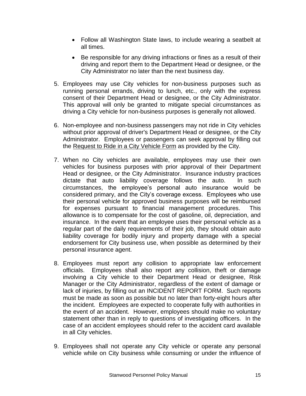- Follow all Washington State laws, to include wearing a seatbelt at all times.
- Be responsible for any driving infractions or fines as a result of their driving and report them to the Department Head or designee, or the City Administrator no later than the next business day.
- 5. Employees may use City vehicles for non-business purposes such as running personal errands, driving to lunch, etc., only with the express consent of their Department Head or designee, or the City Administrator. This approval will only be granted to mitigate special circumstances as driving a City vehicle for non-business purposes is generally not allowed.
- 6. Non-employee and non-business passengers may not ride in City vehicles without prior approval of driver's Department Head or designee, or the City Administrator. Employees or passengers can seek approval by filling out the Request to Ride in a City Vehicle Form as provided by the City.
- 7. When no City vehicles are available, employees may use their own vehicles for business purposes with prior approval of their Department Head or designee, or the City Administrator. Insurance industry practices dictate that auto liability coverage follows the auto. In such circumstances, the employee's personal auto insurance would be considered primary, and the City's coverage excess. Employees who use their personal vehicle for approved business purposes will be reimbursed for expenses pursuant to financial management procedures. This allowance is to compensate for the cost of gasoline, oil, depreciation, and insurance. In the event that an employee uses their personal vehicle as a regular part of the daily requirements of their job, they should obtain auto liability coverage for bodily injury and property damage with a special endorsement for City business use, when possible as determined by their personal insurance agent.
- 8. Employees must report any collision to appropriate law enforcement officials. Employees shall also report any collision, theft or damage involving a City vehicle to their Department Head or designee, Risk Manager or the City Administrator, regardless of the extent of damage or lack of injuries, by filling out an INCIDENT REPORT FORM. Such reports must be made as soon as possible but no later than forty-eight hours after the incident. Employees are expected to cooperate fully with authorities in the event of an accident. However, employees should make no voluntary statement other than in reply to questions of investigating officers. In the case of an accident employees should refer to the accident card available in all City vehicles.
- 9. Employees shall not operate any City vehicle or operate any personal vehicle while on City business while consuming or under the influence of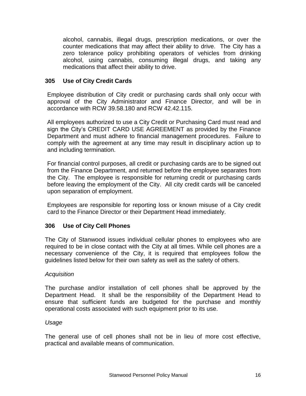alcohol, cannabis, illegal drugs, prescription medications, or over the counter medications that may affect their ability to drive. The City has a zero tolerance policy prohibiting operators of vehicles from drinking alcohol, using cannabis, consuming illegal drugs, and taking any medications that affect their ability to drive.

# <span id="page-15-0"></span>**305 Use of City Credit Cards**

Employee distribution of City credit or purchasing cards shall only occur with approval of the City Administrator and Finance Director, and will be in accordance with RCW 39.58.180 and RCW 42.42.115.

All employees authorized to use a City Credit or Purchasing Card must read and sign the City's CREDIT CARD USE AGREEMENT as provided by the Finance Department and must adhere to financial management procedures. Failure to comply with the agreement at any time may result in disciplinary action up to and including termination.

For financial control purposes, all credit or purchasing cards are to be signed out from the Finance Department, and returned before the employee separates from the City. The employee is responsible for returning credit or purchasing cards before leaving the employment of the City. All city credit cards will be canceled upon separation of employment.

Employees are responsible for reporting loss or known misuse of a City credit card to the Finance Director or their Department Head immediately.

# <span id="page-15-1"></span>**306 Use of City Cell Phones**

The City of Stanwood issues individual cellular phones to employees who are required to be in close contact with the City at all times. While cell phones are a necessary convenience of the City, it is required that employees follow the guidelines listed below for their own safety as well as the safety of others.

#### *Acquisition*

The purchase and/or installation of cell phones shall be approved by the Department Head. It shall be the responsibility of the Department Head to ensure that sufficient funds are budgeted for the purchase and monthly operational costs associated with such equipment prior to its use.

#### *Usage*

The general use of cell phones shall not be in lieu of more cost effective, practical and available means of communication.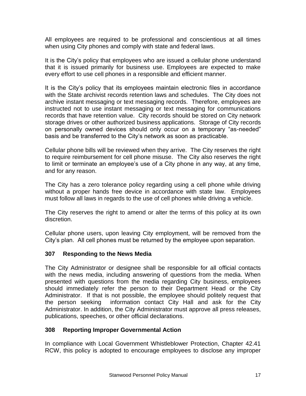All employees are required to be professional and conscientious at all times when using City phones and comply with state and federal laws.

It is the City's policy that employees who are issued a cellular phone understand that it is issued primarily for business use. Employees are expected to make every effort to use cell phones in a responsible and efficient manner.

It is the City's policy that its employees maintain electronic files in accordance with the State archivist records retention laws and schedules. The City does not archive instant messaging or text messaging records. Therefore, employees are instructed not to use instant messaging or text messaging for communications records that have retention value. City records should be stored on City network storage drives or other authorized business applications. Storage of City records on personally owned devices should only occur on a temporary "as-needed" basis and be transferred to the City's network as soon as practicable.

Cellular phone bills will be reviewed when they arrive. The City reserves the right to require reimbursement for cell phone misuse. The City also reserves the right to limit or terminate an employee's use of a City phone in any way, at any time, and for any reason.

The City has a zero tolerance policy regarding using a cell phone while driving without a proper hands free device in accordance with state law. Employees must follow all laws in regards to the use of cell phones while driving a vehicle.

The City reserves the right to amend or alter the terms of this policy at its own discretion.

Cellular phone users, upon leaving City employment, will be removed from the City's plan. All cell phones must be returned by the employee upon separation.

#### <span id="page-16-0"></span>**307 Responding to the News Media**

The City Administrator or designee shall be responsible for all official contacts with the news media, including answering of questions from the media. When presented with questions from the media regarding City business, employees should immediately refer the person to their Department Head or the City Administrator. If that is not possible, the employee should politely request that the person seeking information contact City Hall and ask for the City Administrator. In addition, the City Administrator must approve all press releases, publications, speeches, or other official declarations.

# <span id="page-16-1"></span>**308 Reporting Improper Governmental Action**

In compliance with Local Government Whistleblower Protection, Chapter 42.41 RCW, this policy is adopted to encourage employees to disclose any improper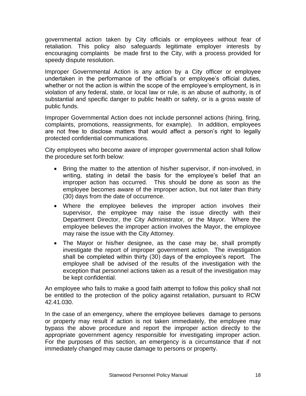governmental action taken by City officials or employees without fear of retaliation. This policy also safeguards legitimate employer interests by encouraging complaints be made first to the City, with a process provided for speedy dispute resolution.

Improper Governmental Action is any action by a City officer or employee undertaken in the performance of the official's or employee's official duties, whether or not the action is within the scope of the employee's employment, is in violation of any federal, state, or local law or rule, is an abuse of authority, is of substantial and specific danger to public health or safety, or is a gross waste of public funds.

Improper Governmental Action does not include personnel actions (hiring, firing, complaints, promotions, reassignments, for example). In addition, employees are not free to disclose matters that would affect a person's right to legally protected confidential communications.

City employees who become aware of improper governmental action shall follow the procedure set forth below:

- Bring the matter to the attention of his/her supervisor, if non-involved, in writing, stating in detail the basis for the employee's belief that an improper action has occurred. This should be done as soon as the employee becomes aware of the improper action, but not later than thirty (30) days from the date of occurrence.
- Where the employee believes the improper action involves their supervisor, the employee may raise the issue directly with their Department Director, the City Administrator, or the Mayor. Where the employee believes the improper action involves the Mayor, the employee may raise the issue with the City Attorney.
- The Mayor or his/her designee, as the case may be, shall promptly investigate the report of improper government action. The investigation shall be completed within thirty (30) days of the employee's report. The employee shall be advised of the results of the investigation with the exception that personnel actions taken as a result of the investigation may be kept confidential.

An employee who fails to make a good faith attempt to follow this policy shall not be entitled to the protection of the policy against retaliation, pursuant to RCW 42.41.030.

In the case of an emergency, where the employee believes damage to persons or property may result if action is not taken immediately, the employee may bypass the above procedure and report the improper action directly to the appropriate government agency responsible for investigating improper action. For the purposes of this section, an emergency is a circumstance that if not immediately changed may cause damage to persons or property.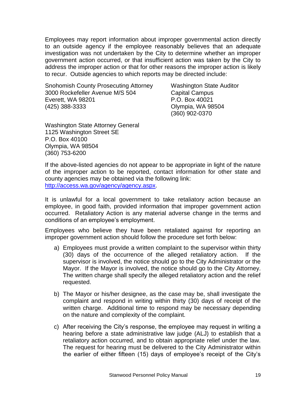Employees may report information about improper governmental action directly to an outside agency if the employee reasonably believes that an adequate investigation was not undertaken by the City to determine whether an improper government action occurred, or that insufficient action was taken by the City to address the improper action or that for other reasons the improper action is likely to recur. Outside agencies to which reports may be directed include:

Snohomish County Prosecuting Attorney Washington State Auditor 3000 Rockefeller Avenue M/S 504 Capital Campus Everett, WA 98201 P.O. Box 40021 (425) 388-3333 Olympia, WA 98504

(360) 902-0370

Washington State Attorney General 1125 Washington Street SE P.O. Box 40100 Olympia, WA 98504 (360) 753-6200

If the above-listed agencies do not appear to be appropriate in light of the nature of the improper action to be reported, contact information for other state and county agencies may be obtained via the following link: [http://access.wa.gov/agency/agency.aspx.](http://access.wa.gov/agency/agency.aspx)

It is unlawful for a local government to take retaliatory action because an employee, in good faith, provided information that improper government action occurred. Retaliatory Action is any material adverse change in the terms and conditions of an employee's employment.

Employees who believe they have been retaliated against for reporting an improper government action should follow the procedure set forth below:

- a) Employees must provide a written complaint to the supervisor within thirty (30) days of the occurrence of the alleged retaliatory action. If the supervisor is involved, the notice should go to the City Administrator or the Mayor. If the Mayor is involved, the notice should go to the City Attorney. The written charge shall specify the alleged retaliatory action and the relief requested.
- b) The Mayor or his/her designee, as the case may be, shall investigate the complaint and respond in writing within thirty (30) days of receipt of the written charge. Additional time to respond may be necessary depending on the nature and complexity of the complaint.
- c) After receiving the City's response, the employee may request in writing a hearing before a state administrative law judge (ALJ) to establish that a retaliatory action occurred, and to obtain appropriate relief under the law. The request for hearing must be delivered to the City Administrator within the earlier of either fifteen (15) days of employee's receipt of the City's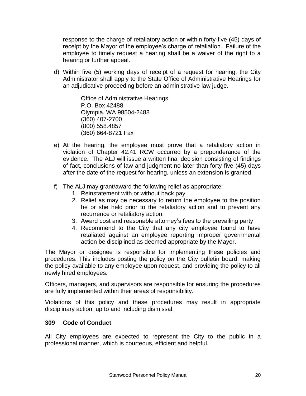response to the charge of retaliatory action or within forty-five (45) days of receipt by the Mayor of the employee's charge of retaliation. Failure of the employee to timely request a hearing shall be a waiver of the right to a hearing or further appeal.

d) Within five (5) working days of receipt of a request for hearing, the City Administrator shall apply to the State Office of Administrative Hearings for an adjudicative proceeding before an administrative law judge.

> Office of Administrative Hearings P.O. Box 42488 Olympia, WA 98504-2488 (360) 407-2700 (800) 558.4857 (360) 664-8721 Fax

- e) At the hearing, the employee must prove that a retaliatory action in violation of Chapter 42.41 RCW occurred by a preponderance of the evidence. The ALJ will issue a written final decision consisting of findings of fact, conclusions of law and judgment no later than forty-five (45) days after the date of the request for hearing, unless an extension is granted.
- f) The ALJ may grant/award the following relief as appropriate:
	- 1. Reinstatement with or without back pay
	- 2. Relief as may be necessary to return the employee to the position he or she held prior to the retaliatory action and to prevent any recurrence or retaliatory action.
	- 3. Award cost and reasonable attorney's fees to the prevailing party
	- 4. Recommend to the City that any city employee found to have retaliated against an employee reporting improper governmental action be disciplined as deemed appropriate by the Mayor.

The Mayor or designee is responsible for implementing these policies and procedures. This includes posting the policy on the City bulletin board, making the policy available to any employee upon request, and providing the policy to all newly hired employees.

Officers, managers, and supervisors are responsible for ensuring the procedures are fully implemented within their areas of responsibility.

Violations of this policy and these procedures may result in appropriate disciplinary action, up to and including dismissal.

# <span id="page-19-0"></span>**309 Code of Conduct**

All City employees are expected to represent the City to the public in a professional manner, which is courteous, efficient and helpful.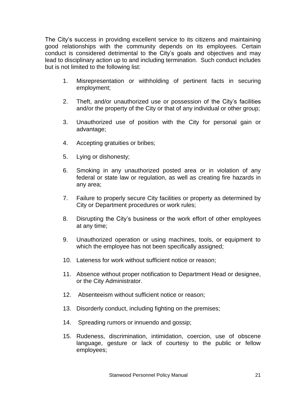The City's success in providing excellent service to its citizens and maintaining good relationships with the community depends on its employees. Certain conduct is considered detrimental to the City's goals and objectives and may lead to disciplinary action up to and including termination. Such conduct includes but is not limited to the following list:

- 1. Misrepresentation or withholding of pertinent facts in securing employment;
- 2. Theft, and/or unauthorized use or possession of the City's facilities and/or the property of the City or that of any individual or other group;
- 3. Unauthorized use of position with the City for personal gain or advantage;
- 4. Accepting gratuities or bribes;
- 5. Lying or dishonesty;
- 6. Smoking in any unauthorized posted area or in violation of any federal or state law or regulation, as well as creating fire hazards in any area;
- 7. Failure to properly secure City facilities or property as determined by City or Department procedures or work rules;
- 8. Disrupting the City's business or the work effort of other employees at any time;
- 9. Unauthorized operation or using machines, tools, or equipment to which the employee has not been specifically assigned;
- 10. Lateness for work without sufficient notice or reason;
- 11. Absence without proper notification to Department Head or designee, or the City Administrator.
- 12. Absenteeism without sufficient notice or reason;
- 13. Disorderly conduct, including fighting on the premises;
- 14. Spreading rumors or innuendo and gossip;
- 15. Rudeness, discrimination, intimidation, coercion, use of obscene language, gesture or lack of courtesy to the public or fellow employees;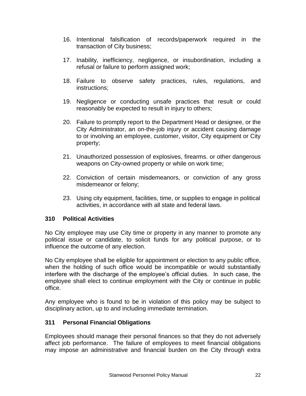- 16. Intentional falsification of records/paperwork required in the transaction of City business;
- 17. Inability, inefficiency, negligence, or insubordination, including a refusal or failure to perform assigned work;
- 18. Failure to observe safety practices, rules, regulations, and instructions;
- 19. Negligence or conducting unsafe practices that result or could reasonably be expected to result in injury to others;
- 20. Failure to promptly report to the Department Head or designee, or the City Administrator, an on-the-job injury or accident causing damage to or involving an employee, customer, visitor, City equipment or City property;
- 21. Unauthorized possession of explosives, firearms. or other dangerous weapons on City-owned property or while on work time;
- 22. Conviction of certain misdemeanors, or conviction of any gross misdemeanor or felony;
- 23. Using city equipment, facilities, time, or supplies to engage in political activities, in accordance with all state and federal laws.

#### **310 Political Activities**

No City employee may use City time or property in any manner to promote any political issue or candidate, to solicit funds for any political purpose, or to influence the outcome of any election.

No City employee shall be eligible for appointment or election to any public office, when the holding of such office would be incompatible or would substantially interfere with the discharge of the employee's official duties. In such case, the employee shall elect to continue employment with the City or continue in public office.

Any employee who is found to be in violation of this policy may be subject to disciplinary action, up to and including immediate termination.

#### **311 Personal Financial Obligations**

Employees should manage their personal finances so that they do not adversely affect job performance. The failure of employees to meet financial obligations may impose an administrative and financial burden on the City through extra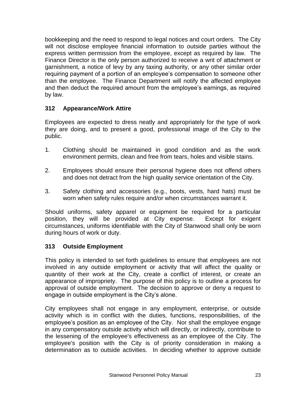bookkeeping and the need to respond to legal notices and court orders. The City will not disclose employee financial information to outside parties without the express written permission from the employee, except as required by law. The Finance Director is the only person authorized to receive a writ of attachment or garnishment, a notice of levy by any taxing authority, or any other similar order requiring payment of a portion of an employee's compensation to someone other than the employee. The Finance Department will notify the affected employee and then deduct the required amount from the employee's earnings, as required by law.

# <span id="page-22-0"></span>**312 Appearance/Work Attire**

Employees are expected to dress neatly and appropriately for the type of work they are doing, and to present a good, professional image of the City to the public.

- 1. Clothing should be maintained in good condition and as the work environment permits, clean and free from tears, holes and visible stains.
- 2. Employees should ensure their personal hygiene does not offend others and does not detract from the high quality service orientation of the City.
- 3. Safety clothing and accessories (e.g., boots, vests, hard hats) must be worn when safety rules require and/or when circumstances warrant it.

Should uniforms, safety apparel or equipment be required for a particular position, they will be provided at City expense. Except for exigent circumstances, uniforms identifiable with the City of Stanwood shall only be worn during hours of work or duty.

# <span id="page-22-1"></span>**313 Outside Employment**

This policy is intended to set forth guidelines to ensure that employees are not involved in any outside employment or activity that will affect the quality or quantity of their work at the City, create a conflict of interest, or create an appearance of impropriety. The purpose of this policy is to outline a process for approval of outside employment. The decision to approve or deny a request to engage in outside employment is the City's alone.

City employees shall not engage in any employment, enterprise, or outside activity which is in conflict with the duties, functions, responsibilities, of the employee's position as an employee of the City. Nor shall the employee engage in any compensatory outside activity which will directly, or indirectly, contribute to the lessening of the employee's effectiveness as an employee of the City. The employee's position with the City is of priority consideration in making a determination as to outside activities. In deciding whether to approve outside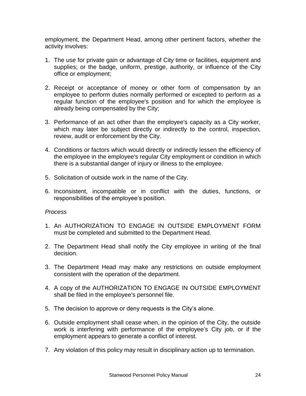employment, the Department Head, among other pertinent factors, whether the activity involves:

- 1. The use for private gain or advantage of City time or facilities, equipment and supplies; or the badge, uniform, prestige, authority, or influence of the City office or employment;
- 2. Receipt or acceptance of money or other form of compensation by an employee to perform duties normally performed or excepted to perform as a regular function of the employee's position and for which the employee is already being compensated by the City;
- 3. Performance of an act other than the employee's capacity as a City worker, which may later be subject directly or indirectly to the control, inspection, review, audit or enforcement by the City.
- 4. Conditions or factors which would directly or indirectly lessen the efficiency of the employee in the employee's regular City employment or condition in which there is a substantial danger of injury or illness to the employee.
- 5. Solicitation of outside work in the name of the City.
- 6. Inconsistent, incompatible or in conflict with the duties, functions, or responsibilities of the employee's position.

#### *Process*

- 1. An AUTHORIZATION TO ENGAGE IN OUTSIDE EMPLOYMENT FORM must be completed and submitted to the Department Head.
- 2. The Department Head shall notify the City employee in writing of the final decision.
- 3. The Department Head may make any restrictions on outside employment consistent with the operation of the department.
- 4. A copy of the AUTHORIZATION TO ENGAGE IN OUTSIDE EMPLOYMENT shall be filed in the employee's personnel file.
- 5. The decision to approve or deny requests is the City's alone.
- 6. Outside employment shall cease when, in the opinion of the City, the outside work is interfering with performance of the employee's City job, or if the employment appears to generate a conflict of interest.
- 7. Any violation of this policy may result in disciplinary action up to termination.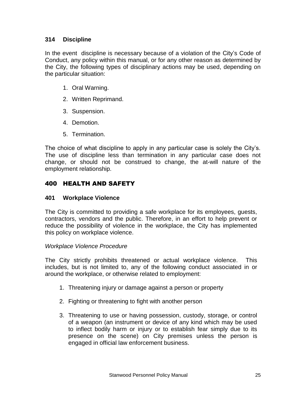# <span id="page-24-0"></span>**314 Discipline**

In the event discipline is necessary because of a violation of the City's Code of Conduct, any policy within this manual, or for any other reason as determined by the City, the following types of disciplinary actions may be used, depending on the particular situation:

- 1. Oral Warning.
- 2. Written Reprimand.
- 3. Suspension.
- 4. Demotion.
- 5. Termination.

The choice of what discipline to apply in any particular case is solely the City's. The use of discipline less than termination in any particular case does not change, or should not be construed to change, the at-will nature of the employment relationship.

# <span id="page-24-1"></span>400 HEALTH AND SAFETY

#### <span id="page-24-2"></span>**401 Workplace Violence**

The City is committed to providing a safe workplace for its employees, guests, contractors, vendors and the public. Therefore, in an effort to help prevent or reduce the possibility of violence in the workplace, the City has implemented this policy on workplace violence.

#### *Workplace Violence Procedure*

The City strictly prohibits threatened or actual workplace violence. This includes, but is not limited to, any of the following conduct associated in or around the workplace, or otherwise related to employment:

- 1. Threatening injury or damage against a person or property
- 2. Fighting or threatening to fight with another person
- 3. Threatening to use or having possession, custody, storage, or control of a weapon (an instrument or device of any kind which may be used to inflect bodily harm or injury or to establish fear simply due to its presence on the scene) on City premises unless the person is engaged in official law enforcement business.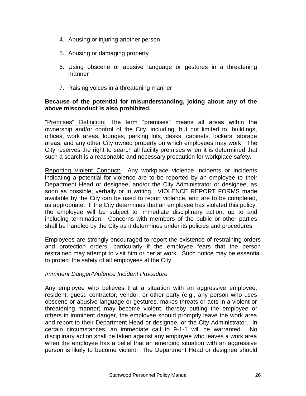- 4. Abusing or injuring another person
- 5. Abusing or damaging property
- 6. Using obscene or abusive language or gestures in a threatening manner
- 7. Raising voices in a threatening manner

#### **Because of the potential for misunderstanding, joking about any of the above misconduct is also prohibited.**

"Premises" Definition: The term "premises" means all areas within the ownership and/or control of the City, including, but not limited to, buildings, offices, work areas, lounges, parking lots, desks, cabinets, lockers, storage areas, and any other City owned property on which employees may work. The City reserves the right to search all facility premises when it is determined that such a search is a reasonable and necessary precaution for workplace safety.

Reporting Violent Conduct: Any workplace violence incidents or incidents indicating a potential for violence are to be reported by an employee to their Department Head or designee, and/or the City Administrator or designee, as soon as possible, verbally or in writing. VIOLENCE REPORT FORMS made available by the City can be used to report violence, and are to be completed, as appropriate. If the City determines that an employee has violated this policy, the employee will be subject to immediate disciplinary action, up to and including termination. Concerns with members of the public or other parties shall be handled by the City as it determines under its policies and procedures.

Employees are strongly encouraged to report the existence of restraining orders and protection orders, particularly if the employee fears that the person restrained may attempt to visit him or her at work. Such notice may be essential to protect the safety of all employees at the City.

#### *Imminent Danger/Violence Incident Procedure*

Any employee who believes that a situation with an aggressive employee, resident, guest, contractor, vendor, or other party (e.g., any person who uses obscene or abusive language or gestures, makes threats or acts in a violent or threatening manner) may become violent, thereby putting the employee or others in imminent danger, the employee should promptly leave the work area and report to their Department Head or designee, or the City Administrator. In certain circumstances, an immediate call to 9-1-1 will be warranted. No disciplinary action shall be taken against any employee who leaves a work area when the employee has a belief that an emerging situation with an aggressive person is likely to become violent. The Department Head or designee should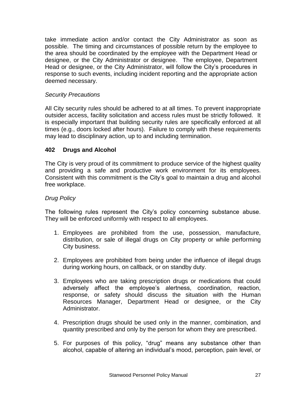take immediate action and/or contact the City Administrator as soon as possible. The timing and circumstances of possible return by the employee to the area should be coordinated by the employee with the Department Head or designee, or the City Administrator or designee. The employee, Department Head or designee, or the City Administrator, will follow the City's procedures in response to such events, including incident reporting and the appropriate action deemed necessary.

#### *Security Precautions*

All City security rules should be adhered to at all times. To prevent inappropriate outsider access, facility solicitation and access rules must be strictly followed. It is especially important that building security rules are specifically enforced at all times (e.g., doors locked after hours). Failure to comply with these requirements may lead to disciplinary action, up to and including termination.

# <span id="page-26-0"></span>**402 Drugs and Alcohol**

The City is very proud of its commitment to produce service of the highest quality and providing a safe and productive work environment for its employees. Consistent with this commitment is the City's goal to maintain a drug and alcohol free workplace.

#### *Drug Policy*

The following rules represent the City's policy concerning substance abuse. They will be enforced uniformly with respect to all employees.

- 1. Employees are prohibited from the use, possession, manufacture, distribution, or sale of illegal drugs on City property or while performing City business.
- 2. Employees are prohibited from being under the influence of illegal drugs during working hours, on callback, or on standby duty.
- 3. Employees who are taking prescription drugs or medications that could adversely affect the employee's alertness, coordination, reaction, response, or safety should discuss the situation with the Human Resources Manager, Department Head or designee, or the City Administrator.
- 4. Prescription drugs should be used only in the manner, combination, and quantity prescribed and only by the person for whom they are prescribed.
- 5. For purposes of this policy, "drug" means any substance other than alcohol, capable of altering an individual's mood, perception, pain level, or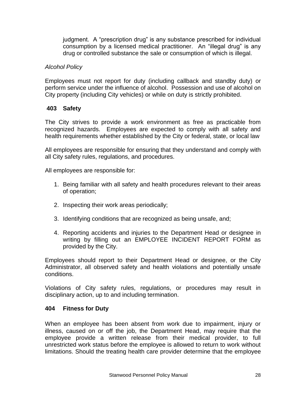judgment. A "prescription drug" is any substance prescribed for individual consumption by a licensed medical practitioner. An "illegal drug" is any drug or controlled substance the sale or consumption of which is illegal.

#### *Alcohol Policy*

Employees must not report for duty (including callback and standby duty) or perform service under the influence of alcohol. Possession and use of alcohol on City property (including City vehicles) or while on duty is strictly prohibited.

#### <span id="page-27-0"></span>**403 Safety**

The City strives to provide a work environment as free as practicable from recognized hazards. Employees are expected to comply with all safety and health requirements whether established by the City or federal, state, or local law

All employees are responsible for ensuring that they understand and comply with all City safety rules, regulations, and procedures.

All employees are responsible for:

- 1. Being familiar with all safety and health procedures relevant to their areas of operation;
- 2. Inspecting their work areas periodically;
- 3. Identifying conditions that are recognized as being unsafe, and;
- 4. Reporting accidents and injuries to the Department Head or designee in writing by filling out an EMPLOYEE INCIDENT REPORT FORM as provided by the City.

Employees should report to their Department Head or designee, or the City Administrator, all observed safety and health violations and potentially unsafe conditions.

Violations of City safety rules, regulations, or procedures may result in disciplinary action, up to and including termination.

#### <span id="page-27-1"></span>**404 Fitness for Duty**

When an employee has been absent from work due to impairment, injury or illness, caused on or off the job, the Department Head, may require that the employee provide a written release from their medical provider, to full unrestricted work status before the employee is allowed to return to work without limitations. Should the treating health care provider determine that the employee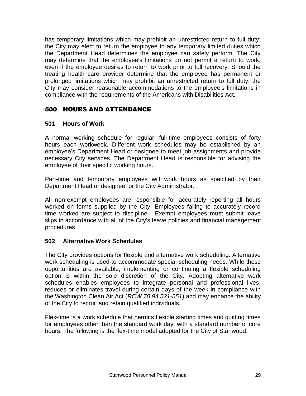has temporary limitations which may prohibit an unrestricted return to full duty; the City may elect to return the employee to any temporary limited duties which the Department Head determines the employee can safely perform. The City may determine that the employee's limitations do not permit a return to work, even if the employee desires to return to work prior to full recovery. Should the treating health care provider determine that the employee has permanent or prolonged limitations which may prohibit an unrestricted return to full duty; the City may consider reasonable accommodations to the employee's limitations in compliance with the requirements of the Americans with Disabilities Act.

# <span id="page-28-0"></span>500 HOURS AND ATTENDANCE

# <span id="page-28-1"></span>**501 Hours of Work**

A normal working schedule for regular, full-time employees consists of forty hours each workweek. Different work schedules may be established by an employee's Department Head or designee to meet job assignments and provide necessary City services. The Department Head is responsible for advising the employee of their specific working hours.

Part-time and temporary employees will work hours as specified by their Department Head or designee, or the City Administrator.

All non-exempt employees are responsible for accurately reporting all hours worked on forms supplied by the City. Employees failing to accurately record time worked are subject to discipline. Exempt employees must submit leave slips in accordance with all of the City's leave policies and financial management procedures.

# <span id="page-28-2"></span>**502 Alternative Work Schedules**

The City provides options for flexible and alternative work scheduling. Alternative work scheduling is used to accommodate special scheduling needs. While these opportunities are available, implementing or continuing a flexible scheduling option is within the sole discretion of the City. Adopting alternative work schedules enables employees to integrate personal and professional lives, reduces or eliminates travel during certain days of the week in compliance with the Washington Clean Air Act (*RCW 70.94.521-551*) and may enhance the ability of the City to recruit and retain qualified individuals.

Flex-time is a work schedule that permits flexible starting times and quitting times for employees other than the standard work day, with a standard number of core hours. The following is the flex-time model adopted for the City of Stanwood: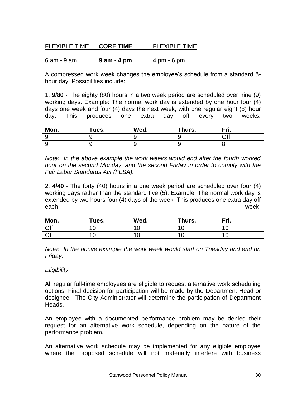# FLEXIBLE TIME **CORE TIME** FLEXIBLE TIME

#### 6 am - 9 am **9 am - 4 pm** 4 pm - 6 pm

A compressed work week changes the employee's schedule from a standard 8 hour day. Possibilities include:

1. **9/80** - The eighty (80) hours in a two week period are scheduled over nine (9) working days. Example: The normal work day is extended by one hour four (4) days one week and four (4) days the next week, with one regular eight (8) hour day. This produces one extra day off every two weeks.

| Mon. | Tues. | Wed. | Thurs. | Fri. |
|------|-------|------|--------|------|
|      |       |      | v      | Off  |
|      |       |      | w      |      |

*Note: In the above example the work weeks would end after the fourth worked hour on the second Monday, and the second Friday in order to comply with the Fair Labor Standards Act (FLSA).*

2. **4/40** - The forty (40) hours in a one week period are scheduled over four (4) working days rather than the standard five (5). Example: The normal work day is extended by two hours four (4) days of the week. This produces one extra day off each week.

| Mon. | Tues. | Wed.      | Thurs.         | Fri. |
|------|-------|-----------|----------------|------|
| Off  | 10    | л.<br>. v | $\overline{A}$ | u    |
| Off  | 10    | л<br>. v  | $\overline{1}$ | u    |

*Note: In the above example the work week would start on Tuesday and end on Friday.* 

#### *Eligibility*

All regular full-time employees are eligible to request alternative work scheduling options. Final decision for participation will be made by the Department Head or designee. The City Administrator will determine the participation of Department Heads.

An employee with a documented performance problem may be denied their request for an alternative work schedule, depending on the nature of the performance problem.

An alternative work schedule may be implemented for any eligible employee where the proposed schedule will not materially interfere with business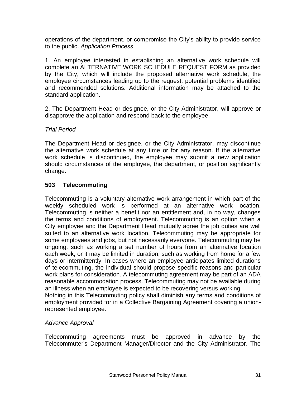operations of the department, or compromise the City's ability to provide service to the public. *Application Process*

1. An employee interested in establishing an alternative work schedule will complete an ALTERNATIVE WORK SCHEDULE REQUEST FORM as provided by the City, which will include the proposed alternative work schedule, the employee circumstances leading up to the request, potential problems identified and recommended solutions. Additional information may be attached to the standard application.

2. The Department Head or designee, or the City Administrator, will approve or disapprove the application and respond back to the employee.

# *Trial Period*

The Department Head or designee, or the City Administrator, may discontinue the alternative work schedule at any time or for any reason. If the alternative work schedule is discontinued, the employee may submit a new application should circumstances of the employee, the department, or position significantly change.

# **503 Telecommuting**

Telecommuting is a voluntary alternative work arrangement in which part of the weekly scheduled work is performed at an alternative work location. Telecommuting is neither a benefit nor an entitlement and, in no way, changes the terms and conditions of employment. Telecommuting is an option when a City employee and the Department Head mutually agree the job duties are well suited to an alternative work location. Telecommuting may be appropriate for some employees and jobs, but not necessarily everyone. Telecommuting may be ongoing, such as working a set number of hours from an alternative location each week, or it may be limited in duration, such as working from home for a few days or intermittently. In cases where an employee anticipates limited durations of telecommuting, the individual should propose specific reasons and particular work plans for consideration. A telecommuting agreement may be part of an ADA reasonable accommodation process. Telecommuting may not be available during an illness when an employee is expected to be recovering versus working. Nothing in this Telecommuting policy shall diminish any terms and conditions of employment provided for in a Collective Bargaining Agreement covering a unionrepresented employee.

#### *Advance Approval*

Telecommuting agreements must be approved in advance by the Telecommuter's Department Manager/Director and the City Administrator. The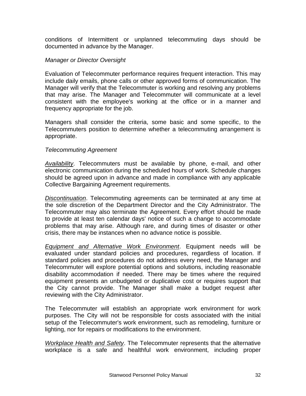conditions of Intermittent or unplanned telecommuting days should be documented in advance by the Manager.

#### *Manager or Director Oversight*

Evaluation of Telecommuter performance requires frequent interaction. This may include daily emails, phone calls or other approved forms of communication. The Manager will verify that the Telecommuter is working and resolving any problems that may arise. The Manager and Telecommuter will communicate at a level consistent with the employee's working at the office or in a manner and frequency appropriate for the job.

Managers shall consider the criteria, some basic and some specific, to the Telecommuters position to determine whether a telecommuting arrangement is appropriate.

#### *Telecommuting Agreement*

*Availability*. Telecommuters must be available by phone, e-mail, and other electronic communication during the scheduled hours of work. Schedule changes should be agreed upon in advance and made in compliance with any applicable Collective Bargaining Agreement requirements.

*Discontinuation*. Telecommuting agreements can be terminated at any time at the sole discretion of the Department Director and the City Administrator. The Telecommuter may also terminate the Agreement. Every effort should be made to provide at least ten calendar days' notice of such a change to accommodate problems that may arise. Although rare, and during times of disaster or other crisis, there may be instances when no advance notice is possible.

*Equipment and Alternative Work Environment*. Equipment needs will be evaluated under standard policies and procedures, regardless of location. If standard policies and procedures do not address every need, the Manager and Telecommuter will explore potential options and solutions, including reasonable disability accommodation if needed. There may be times where the required equipment presents an unbudgeted or duplicative cost or requires support that the City cannot provide. The Manager shall make a budget request after reviewing with the City Administrator.

The Telecommuter will establish an appropriate work environment for work purposes. The City will not be responsible for costs associated with the initial setup of the Telecommuter's work environment, such as remodeling, furniture or lighting, nor for repairs or modifications to the environment.

*Workplace Health and Safety*. The Telecommuter represents that the alternative workplace is a safe and healthful work environment, including proper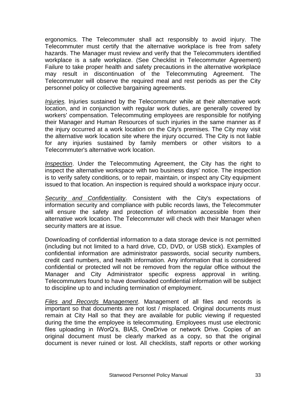ergonomics. The Telecommuter shall act responsibly to avoid injury. The Telecommuter must certify that the alternative workplace is free from safety hazards. The Manager must review and verify that the Telecommuters identified workplace is a safe workplace. (See Checklist in Telecommuter Agreement) Failure to take proper health and safety precautions in the alternative workplace may result in discontinuation of the Telecommuting Agreement. The Telecommuter will observe the required meal and rest periods as per the City personnel policy or collective bargaining agreements.

*Injuries.* Injuries sustained by the Telecommuter while at their alternative work location, and in conjunction with regular work duties, are generally covered by workers' compensation. Telecommuting employees are responsible for notifying their Manager and Human Resources of such injuries in the same manner as if the injury occurred at a work location on the City's premises. The City may visit the alternative work location site where the injury occurred. The City is not liable for any injuries sustained by family members or other visitors to a Telecommuter's alternative work location.

*Inspection*. Under the Telecommuting Agreement, the City has the right to inspect the alternative workspace with two business days' notice. The inspection is to verify safety conditions, or to repair, maintain, or inspect any City equipment issued to that location. An inspection is required should a workspace injury occur.

*Security and Confidentiality*. Consistent with the City's expectations of information security and compliance with public records laws, the Telecommuter will ensure the safety and protection of information accessible from their alternative work location. The Telecommuter will check with their Manager when security matters are at issue.

Downloading of confidential information to a data storage device is not permitted (including but not limited to a hard drive, CD, DVD, or USB stick). Examples of confidential information are administrator passwords, social security numbers, credit card numbers, and health information. Any information that is considered confidential or protected will not be removed from the regular office without the Manager and City Administrator specific express approval in writing. Telecommuters found to have downloaded confidential information will be subject to discipline up to and including termination of employment.

*Files and Records Management*. Management of all files and records is important so that documents are not lost / misplaced. Original documents must remain at City Hall so that they are available for public viewing if requested during the time the employee is telecommuting. Employees must use electronic files uploading in IWorQ's, BIAS, OneDrive or network Drive. Copies of an original document must be clearly marked as a copy, so that the original document is never ruined or lost. All checklists, staff reports or other working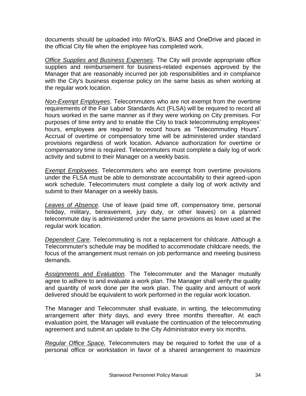documents should be uploaded into IWorQ's, BIAS and OneDrive and placed in the official City file when the employee has completed work.

*Office Supplies and Business Expenses*. The City will provide appropriate office supplies and reimbursement for business-related expenses approved by the Manager that are reasonably incurred per job responsibilities and in compliance with the City's business expense policy on the same basis as when working at the regular work location.

*Non-Exempt Employees*. Telecommuters who are not exempt from the overtime requirements of the Fair Labor Standards Act (FLSA) will be required to record all hours worked in the same manner as if they were working on City premises. For purposes of time entry and to enable the City to track telecommuting employees' hours, employees are required to record hours as "Telecommuting Hours". Accrual of overtime or compensatory time will be administered under standard provisions regardless of work location. Advance authorization for overtime or compensatory time is required. Telecommuters must complete a daily log of work activity and submit to their Manager on a weekly basis.

*Exempt Employees*. Telecommuters who are exempt from overtime provisions under the FLSA must be able to demonstrate accountability to their agreed-upon work schedule. Telecommuters must complete a daily log of work activity and submit to their Manager on a weekly basis.

*Leaves of Absence*. Use of leave (paid time off, compensatory time, personal holiday, military, bereavement, jury duty, or other leaves) on a planned telecommute day is administered under the same provisions as leave used at the regular work location.

*Dependent Care*. Telecommuting is not a replacement for childcare. Although a Telecommuter's schedule may be modified to accommodate childcare needs, the focus of the arrangement must remain on job performance and meeting business demands.

*Assignments and Evaluation.* The Telecommuter and the Manager mutually agree to adhere to and evaluate a work plan. The Manager shall verify the quality and quantity of work done per the work plan. The quality and amount of work delivered should be equivalent to work performed in the regular work location.

The Manager and Telecommuter shall evaluate, in writing, the telecommuting arrangement after thirty days, and every three months thereafter. At each evaluation point, the Manager will evaluate the continuation of the telecommuting agreement and submit an update to the City Administrator every six months.

*Regular Office Space.* Telecommuters may be required to forfeit the use of a personal office or workstation in favor of a shared arrangement to maximize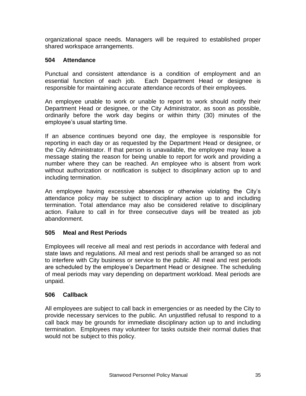organizational space needs. Managers will be required to established proper shared workspace arrangements.

# <span id="page-34-0"></span>**504 Attendance**

Punctual and consistent attendance is a condition of employment and an essential function of each job. Each Department Head or designee is responsible for maintaining accurate attendance records of their employees.

An employee unable to work or unable to report to work should notify their Department Head or designee, or the City Administrator, as soon as possible, ordinarily before the work day begins or within thirty (30) minutes of the employee's usual starting time.

If an absence continues beyond one day, the employee is responsible for reporting in each day or as requested by the Department Head or designee, or the City Administrator. If that person is unavailable, the employee may leave a message stating the reason for being unable to report for work and providing a number where they can be reached. An employee who is absent from work without authorization or notification is subject to disciplinary action up to and including termination.

An employee having excessive absences or otherwise violating the City's attendance policy may be subject to disciplinary action up to and including termination. Total attendance may also be considered relative to disciplinary action. Failure to call in for three consecutive days will be treated as job abandonment.

# <span id="page-34-1"></span>**505 Meal and Rest Periods**

Employees will receive all meal and rest periods in accordance with federal and state laws and regulations. All meal and rest periods shall be arranged so as not to interfere with City business or service to the public. All meal and rest periods are scheduled by the employee's Department Head or designee. The scheduling of meal periods may vary depending on department workload. Meal periods are unpaid.

# <span id="page-34-2"></span>**506 Callback**

<span id="page-34-3"></span>All employees are subject to call back in emergencies or as needed by the City to provide necessary services to the public. An unjustified refusal to respond to a call back may be grounds for immediate disciplinary action up to and including termination. Employees may volunteer for tasks outside their normal duties that would not be subject to this policy.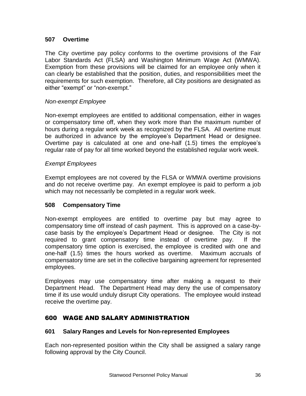# **507 Overtime**

The City overtime pay policy conforms to the overtime provisions of the Fair Labor Standards Act (FLSA) and Washington Minimum Wage Act (WMWA). Exemption from these provisions will be claimed for an employee only when it can clearly be established that the position, duties, and responsibilities meet the requirements for such exemption. Therefore, all City positions are designated as either "exempt" or "non-exempt."

#### *Non-exempt Employee*

Non-exempt employees are entitled to additional compensation, either in wages or compensatory time off, when they work more than the maximum number of hours during a regular work week as recognized by the FLSA. All overtime must be authorized in advance by the employee's Department Head or designee. Overtime pay is calculated at one and one-half (1.5) times the employee's regular rate of pay for all time worked beyond the established regular work week.

#### *Exempt Employees*

Exempt employees are not covered by the FLSA or WMWA overtime provisions and do not receive overtime pay. An exempt employee is paid to perform a job which may not necessarily be completed in a regular work week.

# <span id="page-35-0"></span>**508 Compensatory Time**

Non-exempt employees are entitled to overtime pay but may agree to compensatory time off instead of cash payment. This is approved on a case-bycase basis by the employee's Department Head or designee. The City is not required to grant compensatory time instead of overtime pay. If the compensatory time option is exercised, the employee is credited with one and one-half (1.5) times the hours worked as overtime. Maximum accruals of compensatory time are set in the collective bargaining agreement for represented employees.

Employees may use compensatory time after making a request to their Department Head. The Department Head may deny the use of compensatory time if its use would unduly disrupt City operations. The employee would instead receive the overtime pay.

# <span id="page-35-1"></span>600 WAGE AND SALARY ADMINISTRATION

#### <span id="page-35-2"></span>**601 Salary Ranges and Levels for Non-represented Employees**

Each non-represented position within the City shall be assigned a salary range following approval by the City Council.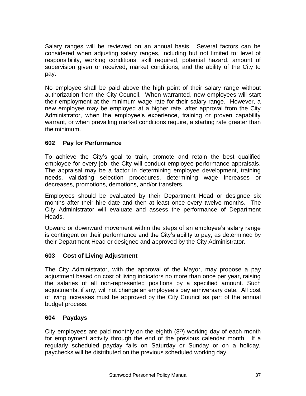Salary ranges will be reviewed on an annual basis. Several factors can be considered when adjusting salary ranges, including but not limited to: level of responsibility, working conditions, skill required, potential hazard, amount of supervision given or received, market conditions, and the ability of the City to pay.

No employee shall be paid above the high point of their salary range without authorization from the City Council. When warranted, new employees will start their employment at the minimum wage rate for their salary range. However, a new employee may be employed at a higher rate, after approval from the City Administrator, when the employee's experience, training or proven capability warrant, or when prevailing market conditions require, a starting rate greater than the minimum.

# <span id="page-36-0"></span>**602 Pay for Performance**

To achieve the City's goal to train, promote and retain the best qualified employee for every job, the City will conduct employee performance appraisals. The appraisal may be a factor in determining employee development, training needs, validating selection procedures, determining wage increases or decreases, promotions, demotions, and/or transfers.

Employees should be evaluated by their Department Head or designee six months after their hire date and then at least once every twelve months. The City Administrator will evaluate and assess the performance of Department Heads.

Upward or downward movement within the steps of an employee's salary range is contingent on their performance and the City's ability to pay, as determined by their Department Head or designee and approved by the City Administrator.

# <span id="page-36-1"></span>**603 Cost of Living Adjustment**

The City Administrator, with the approval of the Mayor, may propose a pay adjustment based on cost of living indicators no more than once per year, raising the salaries of all non-represented positions by a specified amount. Such adjustments, if any, will not change an employee's pay anniversary date. All cost of living increases must be approved by the City Council as part of the annual budget process.

# <span id="page-36-2"></span>**604 Paydays**

City employees are paid monthly on the eighth  $(8<sup>th</sup>)$  working day of each month for employment activity through the end of the previous calendar month. If a regularly scheduled payday falls on Saturday or Sunday or on a holiday, paychecks will be distributed on the previous scheduled working day.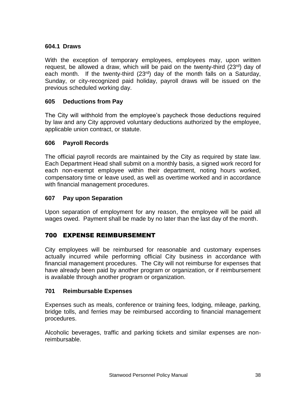#### **604.1 Draws**

With the exception of temporary employees, employees may, upon written request, be allowed a draw, which will be paid on the twenty-third  $(23^{rd})$  day of each month. If the twenty-third  $(23^{rd})$  day of the month falls on a Saturday, Sunday, or city-recognized paid holiday, payroll draws will be issued on the previous scheduled working day.

#### <span id="page-37-0"></span>**605 Deductions from Pay**

The City will withhold from the employee's paycheck those deductions required by law and any City approved voluntary deductions authorized by the employee, applicable union contract, or statute.

#### <span id="page-37-1"></span>**606 Payroll Records**

The official payroll records are maintained by the City as required by state law. Each Department Head shall submit on a monthly basis, a signed work record for each non-exempt employee within their department, noting hours worked, compensatory time or leave used, as well as overtime worked and in accordance with financial management procedures.

#### <span id="page-37-2"></span>**607 Pay upon Separation**

Upon separation of employment for any reason, the employee will be paid all wages owed. Payment shall be made by no later than the last day of the month.

# <span id="page-37-3"></span>700 EXPENSE REIMBURSEMENT

City employees will be reimbursed for reasonable and customary expenses actually incurred while performing official City business in accordance with financial management procedures. The City will not reimburse for expenses that have already been paid by another program or organization, or if reimbursement is available through another program or organization.

#### <span id="page-37-4"></span>**701 Reimbursable Expenses**

Expenses such as meals, conference or training fees, lodging, mileage, parking, bridge tolls, and ferries may be reimbursed according to financial management procedures.

<span id="page-37-5"></span>Alcoholic beverages, traffic and parking tickets and similar expenses are nonreimbursable.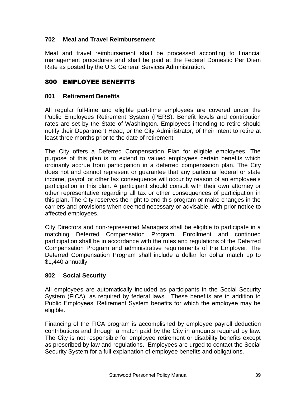# **702 Meal and Travel Reimbursement**

Meal and travel reimbursement shall be processed according to financial management procedures and shall be paid at the Federal Domestic Per Diem Rate as posted by the U.S. General Services Administration.

# <span id="page-38-0"></span>800 EMPLOYEE BENEFITS

# <span id="page-38-1"></span>**801 Retirement Benefits**

All regular full-time and eligible part-time employees are covered under the Public Employees Retirement System (PERS). Benefit levels and contribution rates are set by the State of Washington. Employees intending to retire should notify their Department Head, or the City Administrator, of their intent to retire at least three months prior to the date of retirement.

The City offers a Deferred Compensation Plan for eligible employees. The purpose of this plan is to extend to valued employees certain benefits which ordinarily accrue from participation in a deferred compensation plan. The City does not and cannot represent or guarantee that any particular federal or state income, payroll or other tax consequence will occur by reason of an employee's participation in this plan. A participant should consult with their own attorney or other representative regarding all tax or other consequences of participation in this plan. The City reserves the right to end this program or make changes in the carriers and provisions when deemed necessary or advisable, with prior notice to affected employees.

City Directors and non-represented Managers shall be eligible to participate in a matching Deferred Compensation Program. Enrollment and continued participation shall be in accordance with the rules and regulations of the Deferred Compensation Program and administrative requirements of the Employer. The Deferred Compensation Program shall include a dollar for dollar match up to \$1,440 annually.

# **802 Social Security**

All employees are automatically included as participants in the Social Security System (FICA), as required by federal laws. These benefits are in addition to Public Employees' Retirement System benefits for which the employee may be eligible.

Financing of the FICA program is accomplished by employee payroll deduction contributions and through a match paid by the City in amounts required by law. The City is not responsible for employee retirement or disability benefits except as prescribed by law and regulations. Employees are urged to contact the Social Security System for a full explanation of employee benefits and obligations.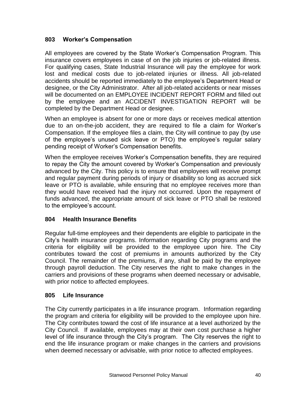#### <span id="page-39-0"></span>**803 Worker's Compensation**

All employees are covered by the State Worker's Compensation Program. This insurance covers employees in case of on the job injuries or job-related illness. For qualifying cases, State Industrial Insurance will pay the employee for work lost and medical costs due to job-related injuries or illness. All job-related accidents should be reported immediately to the employee's Department Head or designee, or the City Administrator. After all job-related accidents or near misses will be documented on an EMPLOYEE INCIDENT REPORT FORM and filled out by the employee and an ACCIDENT INVESTIGATION REPORT will be completed by the Department Head or designee.

When an employee is absent for one or more days or receives medical attention due to an on-the-job accident, they are required to file a claim for Worker's Compensation. If the employee files a claim, the City will continue to pay (by use of the employee's unused sick leave or PTO) the employee's regular salary pending receipt of Worker's Compensation benefits.

When the employee receives Worker's Compensation benefits, they are required to repay the City the amount covered by Worker's Compensation and previously advanced by the City. This policy is to ensure that employees will receive prompt and regular payment during periods of injury or disability so long as accrued sick leave or PTO is available, while ensuring that no employee receives more than they would have received had the injury not occurred. Upon the repayment of funds advanced, the appropriate amount of sick leave or PTO shall be restored to the employee's account.

#### <span id="page-39-1"></span>**804 Health Insurance Benefits**

Regular full-time employees and their dependents are eligible to participate in the City's health insurance programs. Information regarding City programs and the criteria for eligibility will be provided to the employee upon hire. The City contributes toward the cost of premiums in amounts authorized by the City Council. The remainder of the premiums, if any, shall be paid by the employee through payroll deduction. The City reserves the right to make changes in the carriers and provisions of these programs when deemed necessary or advisable, with prior notice to affected employees.

#### <span id="page-39-2"></span>**805 Life Insurance**

The City currently participates in a life insurance program. Information regarding the program and criteria for eligibility will be provided to the employee upon hire. The City contributes toward the cost of life insurance at a level authorized by the City Council. If available, employees may at their own cost purchase a higher level of life insurance through the City's program. The City reserves the right to end the life insurance program or make changes in the carriers and provisions when deemed necessary or advisable, with prior notice to affected employees.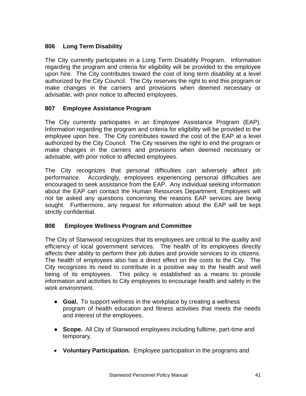# <span id="page-40-0"></span>**806 Long Term Disability**

The City currently participates in a Long Term Disability Program. Information regarding the program and criteria for eligibility will be provided to the employee upon hire. The City contributes toward the cost of long term disability at a level authorized by the City Council. The City reserves the right to end this program or make changes in the carriers and provisions when deemed necessary or advisable, with prior notice to affected employees.

# <span id="page-40-1"></span>**807 Employee Assistance Program**

The City currently participates in an Employee Assistance Program (EAP). Information regarding the program and criteria for eligibility will be provided to the employee upon hire. The City contributes toward the cost of the EAP at a level authorized by the City Council. The City reserves the right to end the program or make changes in the carriers and provisions when deemed necessary or advisable, with prior notice to affected employees.

The City recognizes that personal difficulties can adversely affect job performance. Accordingly, employees experiencing personal difficulties are encouraged to seek assistance from the EAP. Any individual seeking information about the EAP can contact the Human Resources Department. Employees will not be asked any questions concerning the reasons EAP services are being sought. Furthermore, any request for information about the EAP will be kept strictly confidential.

# **808 Employee Wellness Program and Committee**

The City of Stanwood recognizes that its employees are critical to the quality and efficiency of local government services. The health of its employees directly affects their ability to perform their job duties and provide services to its citizens. The health of employees also has a direct effect on the costs to the City. The City recognizes its need to contribute in a positive way to the health and well being of its employees. This policy is established as a means to provide information and activities to City employees to encourage health and safety in the work environment.

- **Goal.** To support wellness in the workplace by creating a wellness program of health education and fitness activities that meets the needs and interest of the employees.
- **Scope.** All City of Stanwood employees including fulltime, part-time and temporary.
- **Voluntary Participation.** Employee participation in the programs and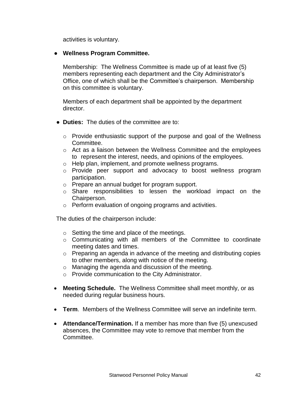activities is voluntary.

#### ● **Wellness Program Committee.**

Membership:The Wellness Committee is made up of at least five (5) members representing each department and the City Administrator's Office, one of which shall be the Committee's chairperson. Membership on this committee is voluntary.

Members of each department shall be appointed by the department director.

- **Duties:** The duties of the committee are to:
	- $\circ$  Provide enthusiastic support of the purpose and goal of the Wellness Committee.
	- o Act as a liaison between the Wellness Committee and the employees to represent the interest, needs, and opinions of the employees.
	- o Help plan, implement, and promote wellness programs.
	- o Provide peer support and advocacy to boost wellness program participation.
	- o Prepare an annual budget for program support.
	- o Share responsibilities to lessen the workload impact on the Chairperson.
	- o Perform evaluation of ongoing programs and activities.

The duties of the chairperson include:

- o Setting the time and place of the meetings.
- o Communicating with all members of the Committee to coordinate meeting dates and times.
- o Preparing an agenda in advance of the meeting and distributing copies to other members, along with notice of the meeting.
- o Managing the agenda and discussion of the meeting.
- o Provide communication to the City Administrator.
- **Meeting Schedule.** The Wellness Committee shall meet monthly, or as needed during regular business hours.
- **Term**. Members of the Wellness Committee will serve an indefinite term.
- **Attendance/Termination.** If a member has more than five (5) unexcused absences, the Committee may vote to remove that member from the Committee.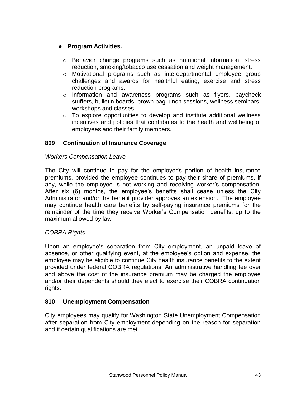# ● **Program Activities.**

- $\circ$  Behavior change programs such as nutritional information, stress reduction, smoking/tobacco use cessation and weight management.
- o Motivational programs such as interdepartmental employee group challenges and awards for healthful eating, exercise and stress reduction programs.
- o Information and awareness programs such as flyers, paycheck stuffers, bulletin boards, brown bag lunch sessions, wellness seminars, workshops and classes.
- $\circ$  To explore opportunities to develop and institute additional wellness incentives and policies that contributes to the health and wellbeing of employees and their family members.

# <span id="page-42-0"></span>**809 Continuation of Insurance Coverage**

#### *Workers Compensation Leave*

The City will continue to pay for the employer's portion of health insurance premiums, provided the employee continues to pay their share of premiums, if any, while the employee is not working and receiving worker's compensation. After six (6) months, the employee's benefits shall cease unless the City Administrator and/or the benefit provider approves an extension. The employee may continue health care benefits by self-paying insurance premiums for the remainder of the time they receive Worker's Compensation benefits, up to the maximum allowed by law

#### *COBRA Rights*

Upon an employee's separation from City employment, an unpaid leave of absence, or other qualifying event, at the employee's option and expense, the employee may be eligible to continue City health insurance benefits to the extent provided under federal COBRA regulations. An administrative handling fee over and above the cost of the insurance premium may be charged the employee and/or their dependents should they elect to exercise their COBRA continuation rights.

#### <span id="page-42-1"></span>**810 Unemployment Compensation**

<span id="page-42-2"></span>City employees may qualify for Washington State Unemployment Compensation after separation from City employment depending on the reason for separation and if certain qualifications are met.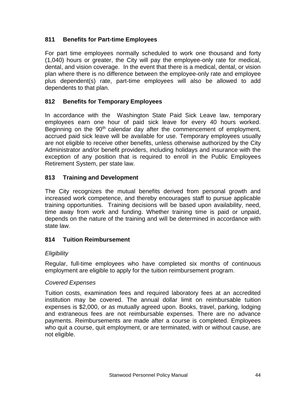# **811 Benefits for Part-time Employees**

For part time employees normally scheduled to work one thousand and forty (1,040) hours or greater, the City will pay the employee-only rate for medical, dental, and vision coverage. In the event that there is a medical, dental, or vision plan where there is no difference between the employee-only rate and employee plus dependent(s) rate, part-time employees will also be allowed to add dependents to that plan.

# <span id="page-43-0"></span>**812 Benefits for Temporary Employees**

In accordance with the Washington State Paid Sick Leave law, temporary employees earn one hour of paid sick leave for every 40 hours worked. Beginning on the  $90<sup>th</sup>$  calendar day after the commencement of employment, accrued paid sick leave will be available for use. Temporary employees usually are not eligible to receive other benefits, unless otherwise authorized by the City Administrator and/or benefit providers, including holidays and insurance with the exception of any position that is required to enroll in the Public Employees Retirement System, per state law.

# <span id="page-43-1"></span>**813 Training and Development**

The City recognizes the mutual benefits derived from personal growth and increased work competence, and thereby encourages staff to pursue applicable training opportunities. Training decisions will be based upon availability, need, time away from work and funding. Whether training time is paid or unpaid, depends on the nature of the training and will be determined in accordance with state law.

#### <span id="page-43-2"></span>**814 Tuition Reimbursement**

#### *Eligibility*

Regular, full-time employees who have completed six months of continuous employment are eligible to apply for the tuition reimbursement program.

#### *Covered Expenses*

Tuition costs, examination fees and required laboratory fees at an accredited institution may be covered. The annual dollar limit on reimbursable tuition expenses is \$2,000, or as mutually agreed upon. Books, travel, parking, lodging and extraneous fees are not reimbursable expenses. There are no advance payments. Reimbursements are made after a course is completed. Employees who quit a course, quit employment, or are terminated, with or without cause, are not eligible.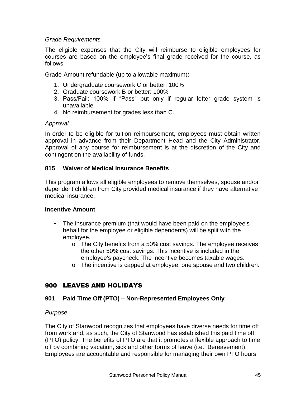#### *Grade Requirements*

The eligible expenses that the City will reimburse to eligible employees for courses are based on the employee's final grade received for the course, as follows:

Grade-Amount refundable (up to allowable maximum):

- 1. Undergraduate coursework C or better: 100%
- 2. Graduate coursework B or better: 100%
- 3. Pass/Fail: 100% if "Pass" but only if regular letter grade system is unavailable.
- 4. No reimbursement for grades less than C.

# *Approval*

In order to be eligible for tuition reimbursement, employees must obtain written approval in advance from their Department Head and the City Administrator. Approval of any course for reimbursement is at the discretion of the City and contingent on the availability of funds.

# **815 Waiver of Medical Insurance Benefits**

This program allows all eligible employees to remove themselves, spouse and/or dependent children from City provided medical insurance if they have alternative medical insurance.

#### **Incentive Amount**:

- The insurance premium (that would have been paid on the employee's behalf for the employee or eligible dependents) will be split with the employee.
	- o The City benefits from a 50% cost savings. The employee receives the other 50% cost savings. This incentive is included in the employee's paycheck. The incentive becomes taxable wages.
	- o The incentive is capped at employee, one spouse and two children.

# <span id="page-44-0"></span>900 LEAVES AND HOLIDAYS

# <span id="page-44-1"></span>**901 Paid Time Off (PTO) – Non-Represented Employees Only**

# *Purpose*

The City of Stanwood recognizes that employees have diverse needs for time off from work and, as such, the City of Stanwood has established this paid time off (PTO) policy. The benefits of PTO are that it promotes a flexible approach to time off by combining vacation, sick and other forms of leave (i.e., Bereavement). Employees are accountable and responsible for managing their own PTO hours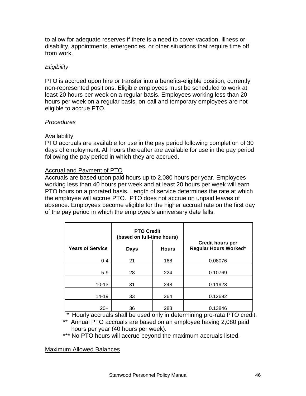to allow for adequate reserves if there is a need to cover vacation, illness or disability, appointments, emergencies, or other situations that require time off from work.

# *Eligibility*

PTO is accrued upon hire or transfer into a benefits-eligible position, currently non-represented positions. Eligible employees must be scheduled to work at least 20 hours per week on a regular basis. Employees working less than 20 hours per week on a regular basis, on-call and temporary employees are not eligible to accrue PTO.

#### *Procedures*

# Availability

PTO accruals are available for use in the pay period following completion of 30 days of employment. All hours thereafter are available for use in the pay period following the pay period in which they are accrued.

# Accrual and Payment of PTO

Accruals are based upon paid hours up to 2,080 hours per year. Employees working less than 40 hours per week and at least 20 hours per week will earn PTO hours on a prorated basis. Length of service determines the rate at which the employee will accrue PTO. PTO does not accrue on unpaid leaves of absence. Employees become eligible for the higher accrual rate on the first day of the pay period in which the employee's anniversary date falls.

|                         | <b>PTO Credit</b><br>(based on full-time hours) |              |                                                  |
|-------------------------|-------------------------------------------------|--------------|--------------------------------------------------|
| <b>Years of Service</b> | Days                                            | <b>Hours</b> | <b>Credit hours per</b><br>Regular Hours Worked* |
| $0 - 4$                 | 21                                              | 168          | 0.08076                                          |
| $5-9$                   | 28                                              | 224          | 0.10769                                          |
| $10 - 13$               | 31                                              | 248          | 0.11923                                          |
| 14-19                   | 33                                              | 264          | 0.12692                                          |
| $20+$                   | 36                                              | 288          | 0.13846                                          |

 *\** Hourly accruals shall be used only in determining pro-rata PTO credit.

\*\* Annual PTO accruals are based on an employee having 2,080 paid hours per year (40 hours per week).

\*\*\* No PTO hours will accrue beyond the maximum accruals listed.

Maximum Allowed Balances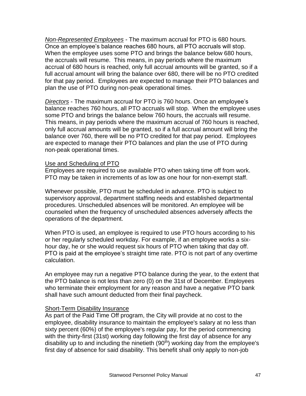*Non-Represented Employees* - The maximum accrual for PTO is 680 hours. Once an employee's balance reaches 680 hours, all PTO accruals will stop. When the employee uses some PTO and brings the balance below 680 hours, the accruals will resume. This means, in pay periods where the maximum accrual of 680 hours is reached, only full accrual amounts will be granted, so if a full accrual amount will bring the balance over 680, there will be no PTO credited for that pay period. Employees are expected to manage their PTO balances and plan the use of PTO during non-peak operational times.

*Directors* - The maximum accrual for PTO is 760 hours. Once an employee's balance reaches 760 hours, all PTO accruals will stop. When the employee uses some PTO and brings the balance below 760 hours, the accruals will resume. This means, in pay periods where the maximum accrual of 760 hours is reached, only full accrual amounts will be granted, so if a full accrual amount will bring the balance over 760, there will be no PTO credited for that pay period. Employees are expected to manage their PTO balances and plan the use of PTO during non-peak operational times.

#### Use and Scheduling of PTO

Employees are required to use available PTO when taking time off from work. PTO may be taken in increments of as low as one hour for non-exempt staff.

Whenever possible, PTO must be scheduled in advance. PTO is subject to supervisory approval, department staffing needs and established departmental procedures. Unscheduled absences will be monitored. An employee will be counseled when the frequency of unscheduled absences adversely affects the operations of the department.

When PTO is used, an employee is required to use PTO hours according to his or her regularly scheduled workday. For example, if an employee works a sixhour day, he or she would request six hours of PTO when taking that day off. PTO is paid at the employee's straight time rate. PTO is not part of any overtime calculation.

An employee may run a negative PTO balance during the year, to the extent that the PTO balance is not less than zero (0) on the 31st of December. Employees who terminate their employment for any reason and have a negative PTO bank shall have such amount deducted from their final paycheck.

#### Short-Term Disability Insurance

As part of the Paid Time Off program, the City will provide at no cost to the employee, disability insurance to maintain the employee's salary at no less than sixty percent (60%) of the employee's regular pay, for the period commencing with the thirty-first (31st) working day following the first day of absence for any disability up to and including the ninetieth  $(90<sup>th</sup>)$  working day from the employee's first day of absence for said disability. This benefit shall only apply to non-job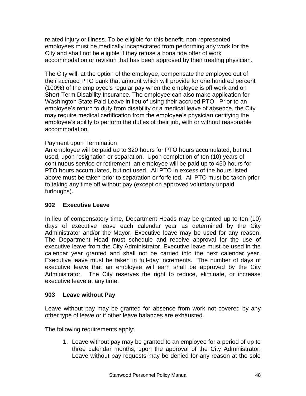related injury or illness. To be eligible for this benefit, non-represented employees must be medically incapacitated from performing any work for the City and shall not be eligible if they refuse a bona fide offer of work accommodation or revision that has been approved by their treating physician.

The City will, at the option of the employee, compensate the employee out of their accrued PTO bank that amount which will provide for one hundred percent (100%) of the employee's regular pay when the employee is off work and on Short-Term Disability Insurance. The employee can also make application for Washington State Paid Leave in lieu of using their accrued PTO. Prior to an employee's return to duty from disability or a medical leave of absence, the City may require medical certification from the employee's physician certifying the employee's ability to perform the duties of their job, with or without reasonable accommodation.

#### Payment upon Termination

An employee will be paid up to 320 hours for PTO hours accumulated, but not used, upon resignation or separation. Upon completion of ten (10) years of continuous service or retirement, an employee will be paid up to 450 hours for PTO hours accumulated, but not used. All PTO in excess of the hours listed above must be taken prior to separation or forfeited. All PTO must be taken prior to taking any time off without pay (except on approved voluntary unpaid furloughs).

# <span id="page-47-0"></span>**902 Executive Leave**

In lieu of compensatory time, Department Heads may be granted up to ten (10) days of executive leave each calendar year as determined by the City Administrator and/or the Mayor. Executive leave may be used for any reason. The Department Head must schedule and receive approval for the use of executive leave from the City Administrator. Executive leave must be used in the calendar year granted and shall not be carried into the next calendar year. Executive leave must be taken in full-day increments. The number of days of executive leave that an employee will earn shall be approved by the City Administrator. The City reserves the right to reduce, eliminate, or increase executive leave at any time.

#### <span id="page-47-1"></span>**903 Leave without Pay**

Leave without pay may be granted for absence from work not covered by any other type of leave or if other leave balances are exhausted.

The following requirements apply:

1. Leave without pay may be granted to an employee for a period of up to three calendar months, upon the approval of the City Administrator. Leave without pay requests may be denied for any reason at the sole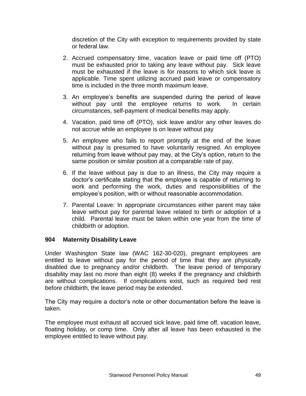discretion of the City with exception to requirements provided by state or federal law.

- 2. Accrued compensatory time, vacation leave or paid time off (PTO) must be exhausted prior to taking any leave without pay. Sick leave must be exhausted if the leave is for reasons to which sick leave is applicable. Time spent utilizing accrued paid leave or compensatory time is included in the three month maximum leave.
- 3. An employee's benefits are suspended during the period of leave without pay until the employee returns to work. In certain circumstances, self-payment of medical benefits may apply.
- 4. Vacation, paid time off (PTO), sick leave and/or any other leaves do not accrue while an employee is on leave without pay
- 5. An employee who fails to report promptly at the end of the leave without pay is presumed to have voluntarily resigned. An employee returning from leave without pay may, at the City's option, return to the same position or similar position at a comparable rate of pay.
- 6. If the leave without pay is due to an illness, the City may require a doctor's certificate stating that the employee is capable of returning to work and performing the work, duties and responsibilities of the employee's position, with or without reasonable accommodation.
- 7. Parental Leave: In appropriate circumstances either parent may take leave without pay for parental leave related to birth or adoption of a child. Parental leave must be taken within one year from the time of childbirth or adoption.

#### <span id="page-48-0"></span>**904 Maternity Disability Leave**

Under Washington State law (WAC 162-30-020), pregnant employees are entitled to leave without pay for the period of time that they are physically disabled due to pregnancy and/or childbirth. The leave period of temporary disability may last no more than eight (8) weeks if the pregnancy and childbirth are without complications. If complications exist, such as required bed rest before childbirth, the leave period may be extended.

The City may require a doctor's note or other documentation before the leave is taken.

The employee must exhaust all accrued sick leave, paid time off, vacation leave, floating holiday, or comp time. Only after all leave has been exhausted is the employee entitled to leave without pay.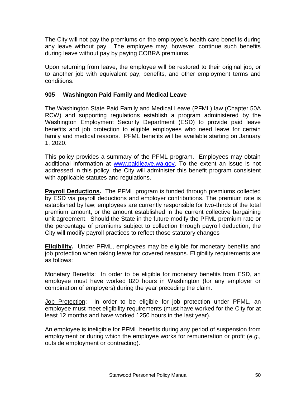The City will not pay the premiums on the employee's health care benefits during any leave without pay. The employee may, however, continue such benefits during leave without pay by paying COBRA premiums.

Upon returning from leave, the employee will be restored to their original job, or to another job with equivalent pay, benefits, and other employment terms and conditions.

# **905 Washington Paid Family and Medical Leave**

The Washington State Paid Family and Medical Leave (PFML) law (Chapter 50A RCW) and supporting regulations establish a program administered by the Washington Employment Security Department (ESD) to provide paid leave benefits and job protection to eligible employees who need leave for certain family and medical reasons. PFML benefits will be available starting on January 1, 2020.

This policy provides a summary of the PFML program. Employees may obtain additional information at [www.paidleave.wa.gov.](http://www.paidleave.wa.gov/) To the extent an issue is not addressed in this policy, the City will administer this benefit program consistent with applicable statutes and regulations.

**Payroll Deductions.** The PFML program is funded through premiums collected by ESD via payroll deductions and employer contributions. The premium rate is established by law; employees are currently responsible for two-thirds of the total premium amount, or the amount established in the current collective bargaining unit agreement. Should the State in the future modify the PFML premium rate or the percentage of premiums subject to collection through payroll deduction, the City will modify payroll practices to reflect those statutory changes

**Eligibility.** Under PFML, employees may be eligible for monetary benefits and job protection when taking leave for covered reasons. Eligibility requirements are as follows:

Monetary Benefits: In order to be eligible for monetary benefits from ESD, an employee must have worked 820 hours in Washington (for any employer or combination of employers) during the year preceding the claim.

Job Protection: In order to be eligible for job protection under PFML, an employee must meet eligibility requirements (must have worked for the City for at least 12 months and have worked 1250 hours in the last year).

An employee is ineligible for PFML benefits during any period of suspension from employment or during which the employee works for remuneration or profit (*e.g.,* outside employment or contracting).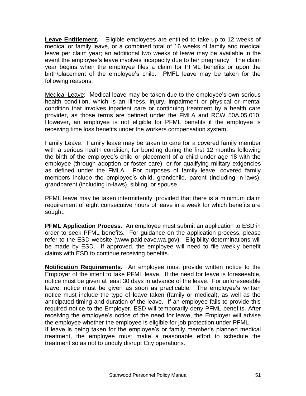**Leave Entitlement.** Eligible employees are entitled to take up to 12 weeks of medical or family leave, or a combined total of 16 weeks of family and medical leave per claim year; an additional two weeks of leave may be available in the event the employee's leave involves incapacity due to her pregnancy. The claim year begins when the employee files a claim for PFML benefits or upon the birth/placement of the employee's child. PMFL leave may be taken for the following reasons:

Medical Leave: Medical leave may be taken due to the employee's own serious health condition, which is an illness, injury, impairment or physical or mental condition that involves inpatient care or continuing treatment by a health care provider, as those terms are defined under the FMLA and RCW 50A.05.010. However, an employee is not eligible for PFML benefits if the employee is receiving time loss benefits under the workers compensation system.

Family Leave: Family leave may be taken to care for a covered family member with a serious health condition; for bonding during the first 12 months following the birth of the employee's child or placement of a child under age 18 with the employee (through adoption or foster care); or for qualifying military exigencies as defined under the FMLA. For purposes of family leave, covered family members include the employee's child, grandchild, parent (including in-laws), grandparent (including in-laws), sibling, or spouse.

PFML leave may be taken intermittently, provided that there is a minimum claim requirement of eight consecutive hours of leave in a week for which benefits are sought.

**PFML Application Process.** An employee must submit an application to ESD in order to seek PFML benefits. For guidance on the application process, please refer to the ESD website (www.paidleave.wa.gov). Eligibility determinations will be made by ESD. If approved, the employee will need to file weekly benefit claims with ESD to continue receiving benefits.

**Notification Requirements.** An employee must provide written notice to the Employer of the intent to take PFML leave. If the need for leave is foreseeable, notice must be given at least 30 days in advance of the leave. For unforeseeable leave, notice must be given as soon as practicable. The employee's written notice must include the type of leave taken (family or medical), as well as the anticipated timing and duration of the leave. If an employee fails to provide this required notice to the Employer, ESD will temporarily deny PFML benefits. After receiving the employee's notice of the need for leave, the Employer will advise the employee whether the employee is eligible for job protection under PFML.

If leave is being taken for the employee's or family member's planned medical treatment, the employee must make a reasonable effort to schedule the treatment so as not to unduly disrupt City operations.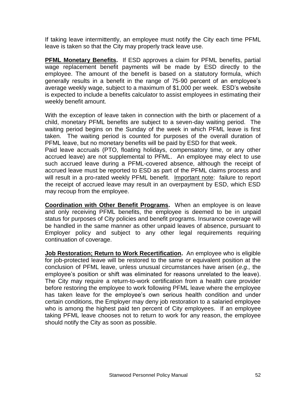If taking leave intermittently, an employee must notify the City each time PFML leave is taken so that the City may properly track leave use.

**PFML Monetary Benefits.** If ESD approves a claim for PFML benefits, partial wage replacement benefit payments will be made by ESD directly to the employee. The amount of the benefit is based on a statutory formula, which generally results in a benefit in the range of 75-90 percent of an employee's average weekly wage, subject to a maximum of \$1,000 per week. ESD's website is expected to include a benefits calculator to assist employees in estimating their weekly benefit amount.

With the exception of leave taken in connection with the birth or placement of a child, monetary PFML benefits are subject to a seven-day waiting period. The waiting period begins on the Sunday of the week in which PFML leave is first taken. The waiting period is counted for purposes of the overall duration of PFML leave, but no monetary benefits will be paid by ESD for that week.

Paid leave accruals (PTO, floating holidays, compensatory time, or any other accrued leave) are not supplemental to PFML. An employee may elect to use such accrued leave during a PFML-covered absence, although the receipt of accrued leave must be reported to ESD as part of the PFML claims process and will result in a pro-rated weekly PFML benefit. Important note: failure to report the receipt of accrued leave may result in an overpayment by ESD, which ESD may recoup from the employee.

**Coordination with Other Benefit Programs.** When an employee is on leave and only receiving PFML benefits, the employee is deemed to be in unpaid status for purposes of City policies and benefit programs. Insurance coverage will be handled in the same manner as other unpaid leaves of absence, pursuant to Employer policy and subject to any other legal requirements requiring continuation of coverage.

**Job Restoration; Return to Work Recertification.** An employee who is eligible for job-protected leave will be restored to the same or equivalent position at the conclusion of PFML leave, unless unusual circumstances have arisen (*e.g.,* the employee's position or shift was eliminated for reasons unrelated to the leave). The City may require a return-to-work certification from a health care provider before restoring the employee to work following PFML leave where the employee has taken leave for the employee's own serious health condition and under certain conditions, the Employer may deny job restoration to a salaried employee who is among the highest paid ten percent of City employees. If an employee taking PFML leave chooses not to return to work for any reason, the employee should notify the City as soon as possible.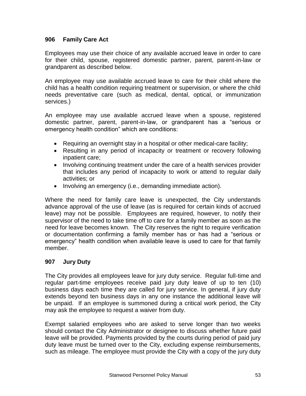#### **906 Family Care Act**

Employees may use their choice of any available accrued leave in order to care for their child, spouse, registered domestic partner, parent, parent-in-law or grandparent as described below.

An employee may use available accrued leave to care for their child where the child has a health condition requiring treatment or supervision, or where the child needs preventative care (such as medical, dental, optical, or immunization services.)

An employee may use available accrued leave when a spouse, registered domestic partner, parent, parent-in-law, or grandparent has a "serious or emergency health condition" which are conditions:

- Requiring an overnight stay in a hospital or other medical-care facility;
- Resulting in any period of incapacity or treatment or recovery following inpatient care;
- Involving continuing treatment under the care of a health services provider that includes any period of incapacity to work or attend to regular daily activities; or
- Involving an emergency (i.e., demanding immediate action).

Where the need for family care leave is unexpected, the City understands advance approval of the use of leave (as is required for certain kinds of accrued leave) may not be possible. Employees are required, however, to notify their supervisor of the need to take time off to care for a family member as soon as the need for leave becomes known. The City reserves the right to require verification or documentation confirming a family member has or has had a "serious or emergency" health condition when available leave is used to care for that family member.

#### <span id="page-52-0"></span>**907 Jury Duty**

The City provides all employees leave for jury duty service. Regular full-time and regular part-time employees receive paid jury duty leave of up to ten (10) business days each time they are called for jury service. In general, if jury duty extends beyond ten business days in any one instance the additional leave will be unpaid. If an employee is summoned during a critical work period, the City may ask the employee to request a waiver from duty.

Exempt salaried employees who are asked to serve longer than two weeks should contact the City Administrator or designee to discuss whether future paid leave will be provided. Payments provided by the courts during period of paid jury duty leave must be turned over to the City, excluding expense reimbursements, such as mileage. The employee must provide the City with a copy of the jury duty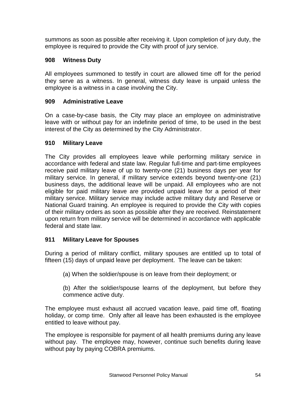summons as soon as possible after receiving it. Upon completion of jury duty, the employee is required to provide the City with proof of jury service.

# <span id="page-53-0"></span>**908 Witness Duty**

All employees summoned to testify in court are allowed time off for the period they serve as a witness. In general, witness duty leave is unpaid unless the employee is a witness in a case involving the City.

# <span id="page-53-1"></span>**909 Administrative Leave**

On a case-by-case basis, the City may place an employee on administrative leave with or without pay for an indefinite period of time, to be used in the best interest of the City as determined by the City Administrator.

# <span id="page-53-2"></span>**910 Military Leave**

The City provides all employees leave while performing military service in accordance with federal and state law. Regular full-time and part-time employees receive paid military leave of up to twenty-one (21) business days per year for military service. In general, if military service extends beyond twenty-one (21) business days, the additional leave will be unpaid. All employees who are not eligible for paid military leave are provided unpaid leave for a period of their military service. Military service may include active military duty and Reserve or National Guard training. An employee is required to provide the City with copies of their military orders as soon as possible after they are received. Reinstatement upon return from military service will be determined in accordance with applicable federal and state law.

# <span id="page-53-3"></span>**911 Military Leave for Spouses**

During a period of military conflict, military spouses are entitled up to total of fifteen (15) days of unpaid leave per deployment. The leave can be taken:

- (a) When the soldier/spouse is on leave from their deployment; or
- (b) After the soldier/spouse learns of the deployment, but before they commence active duty.

The employee must exhaust all accrued vacation leave, paid time off, floating holiday, or comp time. Only after all leave has been exhausted is the employee entitled to leave without pay.

The employee is responsible for payment of all health premiums during any leave without pay. The employee may, however, continue such benefits during leave without pay by paying COBRA premiums.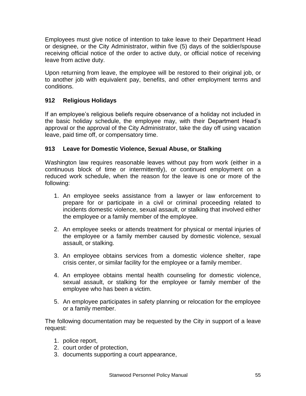Employees must give notice of intention to take leave to their Department Head or designee, or the City Administrator, within five (5) days of the soldier/spouse receiving official notice of the order to active duty, or official notice of receiving leave from active duty.

Upon returning from leave, the employee will be restored to their original job, or to another job with equivalent pay, benefits, and other employment terms and conditions.

# <span id="page-54-0"></span>**912 Religious Holidays**

If an employee's religious beliefs require observance of a holiday not included in the basic holiday schedule, the employee may, with their Department Head's approval or the approval of the City Administrator, take the day off using vacation leave, paid time off, or compensatory time.

# <span id="page-54-1"></span>**913 Leave for Domestic Violence, Sexual Abuse, or Stalking**

Washington law requires reasonable leaves without pay from work (either in a continuous block of time or intermittently), or continued employment on a reduced work schedule, when the reason for the leave is one or more of the following:

- 1. An employee seeks assistance from a lawyer or law enforcement to prepare for or participate in a civil or criminal proceeding related to incidents domestic violence, sexual assault, or stalking that involved either the employee or a family member of the employee.
- 2. An employee seeks or attends treatment for physical or mental injuries of the employee or a family member caused by domestic violence, sexual assault, or stalking.
- 3. An employee obtains services from a domestic violence shelter, rape crisis center, or similar facility for the employee or a family member.
- 4. An employee obtains mental health counseling for domestic violence, sexual assault, or stalking for the employee or family member of the employee who has been a victim.
- 5. An employee participates in safety planning or relocation for the employee or a family member.

The following documentation may be requested by the City in support of a leave request:

- 1. police report,
- 2. court order of protection,
- 3. documents supporting a court appearance,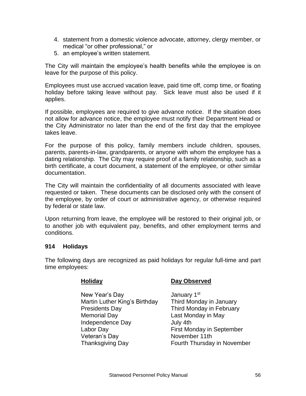- 4. statement from a domestic violence advocate, attorney, clergy member, or medical "or other professional," or
- 5. an employee's written statement.

The City will maintain the employee's health benefits while the employee is on leave for the purpose of this policy.

Employees must use accrued vacation leave, paid time off, comp time, or floating holiday before taking leave without pay. Sick leave must also be used if it applies.

If possible, employees are required to give advance notice. If the situation does not allow for advance notice, the employee must notify their Department Head or the City Administrator no later than the end of the first day that the employee takes leave.

For the purpose of this policy, family members include children, spouses, parents, parents-in-law, grandparents, or anyone with whom the employee has a dating relationship. The City may require proof of a family relationship, such as a birth certificate, a court document, a statement of the employee, or other similar documentation.

The City will maintain the confidentiality of all documents associated with leave requested or taken. These documents can be disclosed only with the consent of the employee, by order of court or administrative agency, or otherwise required by federal or state law.

Upon returning from leave, the employee will be restored to their original job, or to another job with equivalent pay, benefits, and other employment terms and conditions.

#### <span id="page-55-0"></span>**914 Holidays**

The following days are recognized as paid holidays for regular full-time and part time employees:

New Year's Day **January 1st** Martin Luther King's Birthday Third Monday in January Presidents Day **Third Monday in February** Memorial Day **Last Monday in May** Independence Day July 4th Labor Day **First Monday in September** Veteran's Day November 11th Thanksgiving Day Fourth Thursday in November

#### **Holiday Day Observed**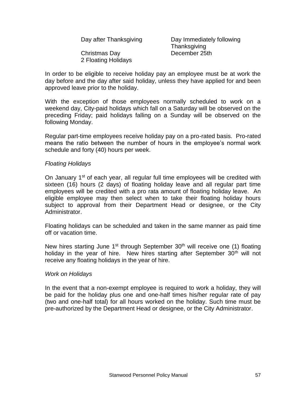| Day after Thanksgiving |
|------------------------|
|                        |

g and Day Immediately following **Thanksgiving** Christmas Day December 25th

2 Floating Holidays

In order to be eligible to receive holiday pay an employee must be at work the day before and the day after said holiday, unless they have applied for and been approved leave prior to the holiday.

With the exception of those employees normally scheduled to work on a weekend day, City-paid holidays which fall on a Saturday will be observed on the preceding Friday; paid holidays falling on a Sunday will be observed on the following Monday.

Regular part-time employees receive holiday pay on a pro-rated basis. Pro-rated means the ratio between the number of hours in the employee's normal work schedule and forty (40) hours per week.

#### *Floating Holidays*

On January 1<sup>st</sup> of each year, all regular full time employees will be credited with sixteen (16) hours (2 days) of floating holiday leave and all regular part time employees will be credited with a pro rata amount of floating holiday leave. An eligible employee may then select when to take their floating holiday hours subject to approval from their Department Head or designee, or the City Administrator.

Floating holidays can be scheduled and taken in the same manner as paid time off or vacation time.

New hires starting June  $1<sup>st</sup>$  through September 30<sup>th</sup> will receive one (1) floating holiday in the year of hire. New hires starting after September  $30<sup>th</sup>$  will not receive any floating holidays in the year of hire.

#### *Work on Holidays*

In the event that a non-exempt employee is required to work a holiday, they will be paid for the holiday plus one and one-half times his/her regular rate of pay (two and one-half total) for all hours worked on the holiday. Such time must be pre-authorized by the Department Head or designee, or the City Administrator.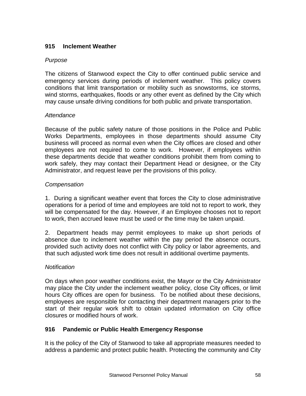# <span id="page-57-0"></span>**915 Inclement Weather**

# *Purpose*

The citizens of Stanwood expect the City to offer continued public service and emergency services during periods of inclement weather. This policy covers conditions that limit transportation or mobility such as snowstorms, ice storms, wind storms, earthquakes, floods or any other event as defined by the City which may cause unsafe driving conditions for both public and private transportation.

# *Attendance*

Because of the public safety nature of those positions in the Police and Public Works Departments, employees in those departments should assume City business will proceed as normal even when the City offices are closed and other employees are not required to come to work. However, if employees within these departments decide that weather conditions prohibit them from coming to work safely, they may contact their Department Head or designee, or the City Administrator, and request leave per the provisions of this policy.

# *Compensation*

1. During a significant weather event that forces the City to close administrative operations for a period of time and employees are told not to report to work, they will be compensated for the day. However, if an Employee chooses not to report to work, then accrued leave must be used or the time may be taken unpaid.

2. Department heads may permit employees to make up short periods of absence due to inclement weather within the pay period the absence occurs, provided such activity does not conflict with City policy or labor agreements, and that such adjusted work time does not result in additional overtime payments.

#### *Notification*

On days when poor weather conditions exist, the Mayor or the City Administrator may place the City under the inclement weather policy, close City offices, or limit hours City offices are open for business. To be notified about these decisions, employees are responsible for contacting their department managers prior to the start of their regular work shift to obtain updated information on City office closures or modified hours of work.

# **916 Pandemic or Public Health Emergency Response**

It is the policy of the City of Stanwood to take all appropriate measures needed to address a pandemic and protect public health. Protecting the community and City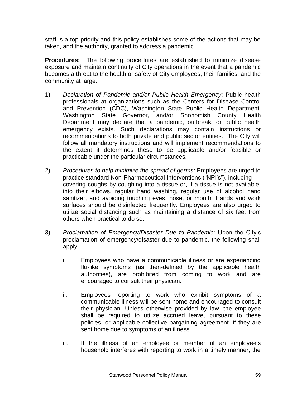staff is a top priority and this policy establishes some of the actions that may be taken, and the authority, granted to address a pandemic.

**Procedures:** The following procedures are established to minimize disease exposure and maintain continuity of City operations in the event that a pandemic becomes a threat to the health or safety of City employees, their families, and the community at large.

- 1) *Declaration of Pandemic and/or Public Health Emergency*: Public health professionals at organizations such as the Centers for Disease Control and Prevention (CDC), Washington State Public Health Department, Washington State Governor, and/or Snohomish County Health Department may declare that a pandemic, outbreak, or public health emergency exists. Such declarations may contain instructions or recommendations to both private and public sector entities. The City will follow all mandatory instructions and will implement recommendations to the extent it determines these to be applicable and/or feasible or practicable under the particular circumstances.
- 2) *Procedures to help minimize the spread of germs*: Employees are urged to practice standard Non-Pharmaceutical Interventions ("NPI's"), including covering coughs by coughing into a tissue or, if a tissue is not available, into their elbows, regular hand washing, regular use of alcohol hand sanitizer, and avoiding touching eyes, nose, or mouth. Hands and work surfaces should be disinfected frequently. Employees are also urged to utilize social distancing such as maintaining a distance of six feet from others when practical to do so.
- 3) *Proclamation of Emergency/Disaster Due to Pandemic*: Upon the City's proclamation of emergency/disaster due to pandemic, the following shall apply:
	- i. Employees who have a communicable illness or are experiencing flu-like symptoms (as then-defined by the applicable health authorities), are prohibited from coming to work and are encouraged to consult their physician.
	- ii. Employees reporting to work who exhibit symptoms of a communicable illness will be sent home and encouraged to consult their physician. Unless otherwise provided by law, the employee shall be required to utilize accrued leave, pursuant to these policies, or applicable collective bargaining agreement, if they are sent home due to symptoms of an illness.
	- iii. If the illness of an employee or member of an employee's household interferes with reporting to work in a timely manner, the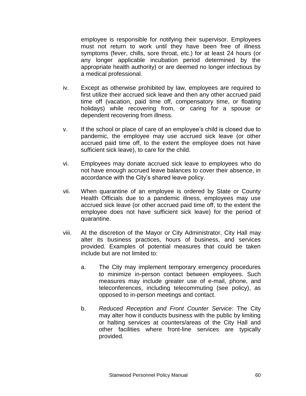employee is responsible for notifying their supervisor. Employees must not return to work until they have been free of illness symptoms (fever, chills, sore throat, etc.) for at least 24 hours (or any longer applicable incubation period determined by the appropriate health authority) or are deemed no longer infectious by a medical professional.

- iv. Except as otherwise prohibited by law, employees are required to first utilize their accrued sick leave and then any other accrued paid time off (vacation, paid time off, compensatory time, or floating holidays) while recovering from, or caring for a spouse or dependent recovering from illness.
- v. If the school or place of care of an employee's child is closed due to pandemic, the employee may use accrued sick leave (or other accrued paid time off, to the extent the employee does not have sufficient sick leave), to care for the child.
- vi. Employees may donate accrued sick leave to employees who do not have enough accrued leave balances to cover their absence, in accordance with the City's shared leave policy.
- vii. When quarantine of an employee is ordered by State or County Health Officials due to a pandemic illness, employees may use accrued sick leave (or other accrued paid time off, to the extent the employee does not have sufficient sick leave) for the period of quarantine.
- viii. At the discretion of the Mayor or City Administrator, City Hall may alter its business practices, hours of business, and services provided. Examples of potential measures that could be taken include but are not limited to:
	- a. The City may implement temporary emergency procedures to minimize in-person contact between employees. Such measures may include greater use of e-mail, phone, and teleconferences, including telecommuting (see policy), as opposed to in-person meetings and contact.
	- b. *Reduced Reception and Front Counter Service*: The City may alter how it conducts business with the public by limiting or halting services at counters/areas of the City Hall and other facilities where front-line services are typically provided.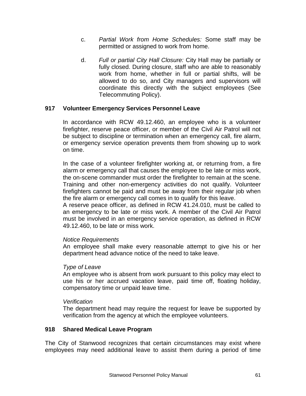- c. *Partial Work from Home Schedules:* Some staff may be permitted or assigned to work from home.
- d. *Full or partial City Hall Closure:* City Hall may be partially or fully closed. During closure, staff who are able to reasonably work from home, whether in full or partial shifts, will be allowed to do so, and City managers and supervisors will coordinate this directly with the subject employees (See Telecommuting Policy).

# **917 Volunteer Emergency Services Personnel Leave**

In accordance with RCW 49.12.460, an employee who is a volunteer firefighter, reserve peace officer, or member of the Civil Air Patrol will not be subject to discipline or termination when an emergency call, fire alarm, or emergency service operation prevents them from showing up to work on time.

In the case of a volunteer firefighter working at, or returning from, a fire alarm or emergency call that causes the employee to be late or miss work, the on-scene commander must order the firefighter to remain at the scene. Training and other non-emergency activities do not qualify. Volunteer firefighters cannot be paid and must be away from their regular job when the fire alarm or emergency call comes in to qualify for this leave.

A reserve peace officer, as defined in RCW 41.24.010, must be called to an emergency to be late or miss work. A member of the Civil Air Patrol must be involved in an emergency service operation, as defined in RCW 49.12.460, to be late or miss work.

#### *Notice Requirements*

An employee shall make every reasonable attempt to give his or her department head advance notice of the need to take leave.

#### *Type of Leave*

An employee who is absent from work pursuant to this policy may elect to use his or her accrued vacation leave, paid time off, floating holiday, compensatory time or unpaid leave time.

#### *Verification*

The department head may require the request for leave be supported by verification from the agency at which the employee volunteers.

#### <span id="page-60-0"></span>**918 Shared Medical Leave Program**

The City of Stanwood recognizes that certain circumstances may exist where employees may need additional leave to assist them during a period of time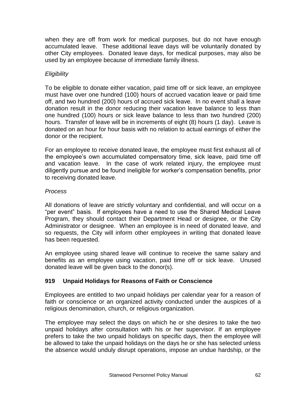when they are off from work for medical purposes, but do not have enough accumulated leave. These additional leave days will be voluntarily donated by other City employees. Donated leave days, for medical purposes, may also be used by an employee because of immediate family illness.

# *Eligibility*

To be eligible to donate either vacation, paid time off or sick leave, an employee must have over one hundred (100) hours of accrued vacation leave or paid time off, and two hundred (200) hours of accrued sick leave. In no event shall a leave donation result in the donor reducing their vacation leave balance to less than one hundred (100) hours or sick leave balance to less than two hundred (200) hours. Transfer of leave will be in increments of eight (8) hours (1 day). Leave is donated on an hour for hour basis with no relation to actual earnings of either the donor or the recipient.

For an employee to receive donated leave, the employee must first exhaust all of the employee's own accumulated compensatory time, sick leave, paid time off and vacation leave. In the case of work related injury, the employee must diligently pursue and be found ineligible for worker's compensation benefits, prior to receiving donated leave.

# *Process*

All donations of leave are strictly voluntary and confidential, and will occur on a "per event" basis. If employees have a need to use the Shared Medical Leave Program, they should contact their Department Head or designee, or the City Administrator or designee. When an employee is in need of donated leave, and so requests, the City will inform other employees in writing that donated leave has been requested.

An employee using shared leave will continue to receive the same salary and benefits as an employee using vacation, paid time off or sick leave. Unused donated leave will be given back to the donor(s).

# **919 Unpaid Holidays for Reasons of Faith or Conscience**

Employees are entitled to two unpaid holidays per calendar year for a reason of faith or conscience or an organized activity conducted under the auspices of a religious denomination, church, or religious organization.

The employee may select the days on which he or she desires to take the two unpaid holidays after consultation with his or her supervisor. If an employee prefers to take the two unpaid holidays on specific days, then the employee will be allowed to take the unpaid holidays on the days he or she has selected unless the absence would unduly disrupt operations, impose an undue hardship, or the